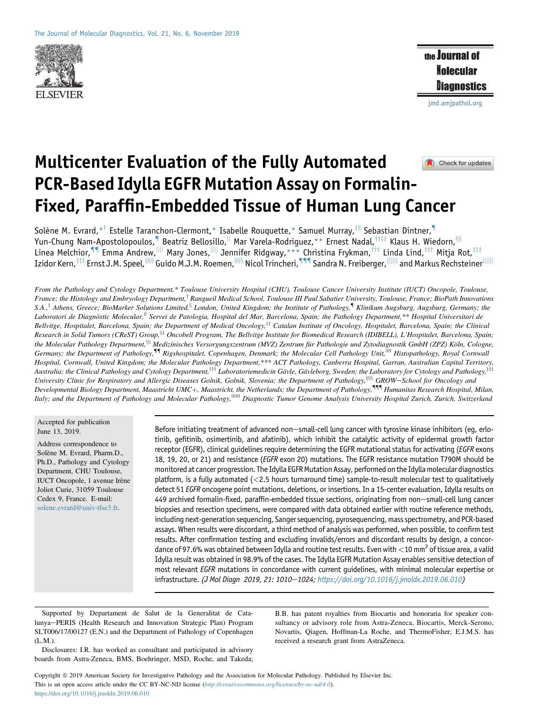

the Journal of **Molecular** Diagnostics

[jmd.amjpathol.org](http://jmd.amjpathol.org)

# Multicenter Evaluation of the Fully Automated Check for updates PCR-Based Idylla EGFR Mutation Assay on Formalin-Fixed, Paraffin-Embedded Tissue of Human Lung Cancer

Solène M. Evrard, \*<sup>†</sup> Estelle Taranchon-Clermont, \* Isabelle Rouquette, \* Samuel Murray, <sup>‡§</sup> Sebastian Dintner, <sup>¶</sup> Yun-Chung Nam-Apostolopoulos, <sup>¶</sup> Beatriz Bellosillo, <sup>||</sup> Mar Varela-Rodriguez, \*\* Ernest Nadal, <sup>††‡‡</sup> Klaus H. Wiedorn, <sup>§§</sup> Linea Melchior, II Emma Andrew,<sup>IIII</sup> Mary Jones,<sup>IIII</sup> Jennifer Ridgway,\*\*\* Christina Frykman,™ Linda Lind,™ Mitja Rot,™  ${\rm Izidor \, Kern,}^{\rm \tiny HII}$  Ernst J.M. Speel, ${}^{\rm 888}$  Guido M.J.M. Roemen, ${}^{\rm 888}$  Nicol Trincheri,  ${}^{\rm 319}$  Sandra N. Freiberger, ${}^{\rm 1111}$  and Markus Rechsteiner ${}^{\rm 11111}$ 

From the Pathology and Cytology Department,\* Toulouse University Hospital (CHU), Toulouse Cancer University Institute (IUCT) Oncopole, Toulouse, France; the Histology and Embryology Department,<sup>†</sup> Rangueil Medical School, Toulouse III Paul Sabatier University, Toulouse, France; BioPath Innovations  $S.A.,^{\ddagger}$  Athens, Greece; BioMarker Solutions Limited, ${}^{\S}$  London, United Kingdom; the Institute of Pathology, Klinikum Augsburg, Augsburg, Germany; the Laboratori de Diagnòstic Molecular,<sup>||</sup> Servei de Patologia, Hospital del Mar, Barcelona, Spain; the Pathology Department, \*\* Hospital Universitari de Bellvitge, Hospitalet, Barcelona, Spain; the Department of Medical Oncology,<sup>††</sup> Catalan Institute of Oncology, Hospitalet, Barcelona, Spain; the Clinical Research in Solid Tumors (CReST) Group,<sup>‡‡</sup> Oncobell Program, The Bellvitge Institute for Biomedical Research (IDIBELL), L'Hospitalet, Barcelona, Spain; the Molecular Pathology Department,<sup>§§</sup> Medizinisches Versorgungszentrum (MVZ) Zentrum für Pathologie und Zytodiagnostik GmbH (ZPZ) Köln, Cologne, Germany; the Department of Pathology,<sup>11</sup> Rigshospitalet, Copenhagen, Denmark; the Molecular Cell Pathology Unit,<sup>||||</sup> Histopathology, Royal Cornwall Hospital, Cornwall, United Kingdom; the Molecular Pathology Department,\*\*\* ACT Pathology, Canberra Hospital, Garran, Australian Capital Territory, Australia; the Clinical Pathology and Cytology Department,<sup>†††</sup> Laboratoriemedicin Gävle, Gävleborg, Sweden; the Laboratory for Cytology and Pathology,<sup>‡</sup> University Clinic for Respiratory and Allergic Diseases Golnik, Golnik, Slovenia; the Department of Pathology, 588 GROW-School for Oncology and Developmental Biology Department, Maastricht UMC+, Maastricht, the Netherlands; the Department of Pathology,<sup>111</sup> Humanitas Research Hospital, Milan, Italy; and the Department of Pathology and Molecular Pathology,|||||| Diagnostic Tumor Genome Analysis University Hospital Zurich, Zurich, Switzerland

Accepted for publication June 13, 2019.

Address correspondence to Solène M. Evrard, Pharm.D., Ph.D., Pathology and Cytology Department, CHU Toulouse, IUCT Oncopole, 1 avenue Irène Joliot Curie, 31059 Toulouse Cedex 9, France. E-mail: [solene.evrard@univ-tlse3.fr.](mailto:solene.evrard@univ-tlse3.fr)

Before initiating treatment of advanced non-small-cell lung cancer with tyrosine kinase inhibitors (eg, erlotinib, gefitinib, osimertinib, and afatinib), which inhibit the catalytic activity of epidermal growth factor receptor (EGFR), clinical guidelines require determining the EGFR mutational status for activating (EGFR exons 18, 19, 20, or 21) and resistance (EGFR exon 20) mutations. The EGFR resistance mutation T790M should be monitored at cancer progression. The Idylla EGFR Mutation Assay, performed on the Idylla molecular diagnostics platform, is a fully automated (<2.5 hours turnaround time) sample-to-result molecular test to qualitatively detect 51 EGFR oncogene point mutations, deletions, or insertions. In a 15-center evaluation, Idylla results on 449 archived formalin-fixed, paraffin-embedded tissue sections, originating from non-small-cell lung cancer biopsies and resection specimens, were compared with data obtained earlier with routine reference methods, including next-generation sequencing, Sanger sequencing, pyrosequencing, mass spectrometry, and PCR-based assays. When results were discordant, a third method of analysis was performed, when possible, to confirm test results. After confirmation testing and excluding invalids/errors and discordant results by design, a concordance of 97.6% was obtained between Idylla and routine test results. Even with  $<$  10 mm<sup>2</sup> of tissue area, a valid Idylla result was obtained in 98.9% of the cases. The Idylla EGFR Mutation Assay enables sensitive detection of most relevant *EGFR* mutations in concordance with current quidelines, with minimal molecular expertise or infrastructure. (J Mol Diagn 2019, 21: 1010-1024; <https://doi.org/10.1016/j.jmoldx.2019.06.010>)

Supported by Departament de Salut de la Generalitat de Catalunya-PERIS (Health Research and Innovation Strategic Plan) Program SLT006/17/00127 (E.N.) and the Department of Pathology of Copenhagen (L.M.).

B.B. has patent royalties from Biocartis and honoraria for speaker consultancy or advisory role from Astra-Zeneca, Biocartis, Merck-Serono, Novartis, Qiagen, Hoffman-La Roche, and ThermoFisher; E.J.M.S. has received a research grant from AstraZeneca.

Disclosures: I.R. has worked as consultant and participated in advisory boards from Astra-Zeneca, BMS, Boehringer, MSD, Roche, and Takeda;

Copyright  $@$  2019 American Society for Investigative Pathology and the Association for Molecular Pathology. Published by Elsevier Inc. This is an open access article under the CC BY-NC-ND license (<http://creativecommons.org/licenses/by-nc-nd/4.0>). <https://doi.org/10.1016/j.jmoldx.2019.06.010>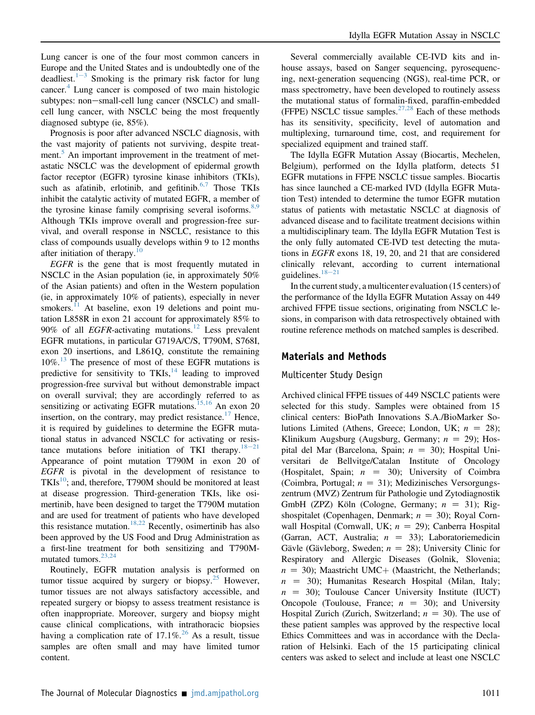Lung cancer is one of the four most common cancers in Europe and the United States and is undoubtedly one of the deadliest.<sup>[1](#page-12-0)-[3](#page-12-0)</sup> Smoking is the primary risk factor for lung cancer.<sup>[4](#page-13-0)</sup> Lung cancer is composed of two main histologic subtypes: non-small-cell lung cancer (NSCLC) and smallcell lung cancer, with NSCLC being the most frequently diagnosed subtype (ie, 85%).

Prognosis is poor after advanced NSCLC diagnosis, with the vast majority of patients not surviving, despite treat-ment.<sup>[5](#page-13-1)</sup> An important improvement in the treatment of metastatic NSCLC was the development of epidermal growth factor receptor (EGFR) tyrosine kinase inhibitors (TKIs), such as afatinib, erlotinib, and gefitinib.<sup>[6,7](#page-13-2)</sup> Those TKIs inhibit the catalytic activity of mutated EGFR, a member of the tyrosine kinase family comprising several isoforms.<sup>[8,9](#page-13-3)</sup> Although TKIs improve overall and progression-free survival, and overall response in NSCLC, resistance to this class of compounds usually develops within 9 to 12 months after initiation of therapy.<sup>[10](#page-13-4)</sup>

EGFR is the gene that is most frequently mutated in NSCLC in the Asian population (ie, in approximately 50% of the Asian patients) and often in the Western population (ie, in approximately 10% of patients), especially in never smokers. $11$  At baseline, exon 19 deletions and point mutation L858R in exon 21 account for approximately 85% to 90% of all *EGFR*-activating mutations.<sup>[12](#page-13-6)</sup> Less prevalent EGFR mutations, in particular G719A/C/S, T790M, S768I, exon 20 insertions, and L861Q, constitute the remaining  $10\%$ .<sup>[13](#page-13-7)</sup> The presence of most of these EGFR mutations is predictive for sensitivity to  $TKIs$ ,<sup>[14](#page-13-8)</sup> leading to improved progression-free survival but without demonstrable impact on overall survival; they are accordingly referred to as sensitizing or activating EGFR mutations.<sup>[15,16](#page-13-9)</sup> An exon 20 insertion, on the contrary, may predict resistance.<sup>[17](#page-13-10)</sup> Hence, it is required by guidelines to determine the EGFR mutational status in advanced NSCLC for activating or resistance mutations before initiation of TKI therapy. $18-21$  $18-21$  $18-21$ Appearance of point mutation T790M in exon 20 of EGFR is pivotal in the development of resistance to  $TKIs<sup>10</sup>$ ; and, therefore, T790M should be monitored at least at disease progression. Third-generation TKIs, like osimertinib, have been designed to target the T790M mutation and are used for treatment of patients who have developed this resistance mutation.<sup>[18,22](#page-13-11)</sup> Recently, osimertinib has also been approved by the US Food and Drug Administration as a first-line treatment for both sensitizing and T790M-mutated tumors.<sup>[23,24](#page-13-12)</sup>

Routinely, EGFR mutation analysis is performed on tumor tissue acquired by surgery or biopsy.<sup>[25](#page-13-13)</sup> However, tumor tissues are not always satisfactory accessible, and repeated surgery or biopsy to assess treatment resistance is often inappropriate. Moreover, surgery and biopsy might cause clinical complications, with intrathoracic biopsies having a complication rate of  $17.1\%$ <sup>[26](#page-13-14)</sup> As a result, tissue samples are often small and may have limited tumor content.

Several commercially available CE-IVD kits and inhouse assays, based on Sanger sequencing, pyrosequencing, next-generation sequencing (NGS), real-time PCR, or mass spectrometry, have been developed to routinely assess the mutational status of formalin-fixed, paraffin-embedded (FFPE) NSCLC tissue samples.<sup>[27,28](#page-13-15)</sup> Each of these methods has its sensitivity, specificity, level of automation and multiplexing, turnaround time, cost, and requirement for specialized equipment and trained staff.

The Idylla EGFR Mutation Assay (Biocartis, Mechelen, Belgium), performed on the Idylla platform, detects 51 EGFR mutations in FFPE NSCLC tissue samples. Biocartis has since launched a CE-marked IVD (Idylla EGFR Mutation Test) intended to determine the tumor EGFR mutation status of patients with metastatic NSCLC at diagnosis of advanced disease and to facilitate treatment decisions within a multidisciplinary team. The Idylla EGFR Mutation Test is the only fully automated CE-IVD test detecting the mutations in EGFR exons 18, 19, 20, and 21 that are considered clinically relevant, according to current international guidelines. $18-21$  $18-21$  $18-21$ 

In the current study, a multicenter evaluation (15 centers) of the performance of the Idylla EGFR Mutation Assay on 449 archived FFPE tissue sections, originating from NSCLC lesions, in comparison with data retrospectively obtained with routine reference methods on matched samples is described.

# <span id="page-1-0"></span>Materials and Methods

### Multicenter Study Design

Archived clinical FFPE tissues of 449 NSCLC patients were selected for this study. Samples were obtained from 15 clinical centers: BioPath Innovations S.A./BioMarker Solutions Limited (Athens, Greece; London, UK;  $n = 28$ ); Klinikum Augsburg (Augsburg, Germany;  $n = 29$ ); Hospital del Mar (Barcelona, Spain;  $n = 30$ ); Hospital Universitari de Bellvitge/Catalan Institute of Oncology (Hospitalet, Spain;  $n = 30$ ); University of Coimbra (Coimbra, Portugal;  $n = 31$ ); Medizinisches Versorgungszentrum (MVZ) Zentrum für Pathologie und Zytodiagnostik GmbH (ZPZ) Köln (Cologne, Germany;  $n = 31$ ); Rigshospitalet (Copenhagen, Denmark;  $n = 30$ ); Royal Cornwall Hospital (Cornwall, UK;  $n = 29$ ); Canberra Hospital (Garran, ACT, Australia;  $n = 33$ ); Laboratoriemedicin Gävle (Gävleborg, Sweden;  $n = 28$ ); University Clinic for Respiratory and Allergic Diseases (Golnik, Slovenia;  $n = 30$ ; Maastricht UMC + (Maastricht, the Netherlands;  $n = 30$ ; Humanitas Research Hospital (Milan, Italy;  $n = 30$ ; Toulouse Cancer University Institute (IUCT) Oncopole (Toulouse, France;  $n = 30$ ); and University Hospital Zurich (Zurich, Switzerland;  $n = 30$ ). The use of these patient samples was approved by the respective local Ethics Committees and was in accordance with the Declaration of Helsinki. Each of the 15 participating clinical centers was asked to select and include at least one NSCLC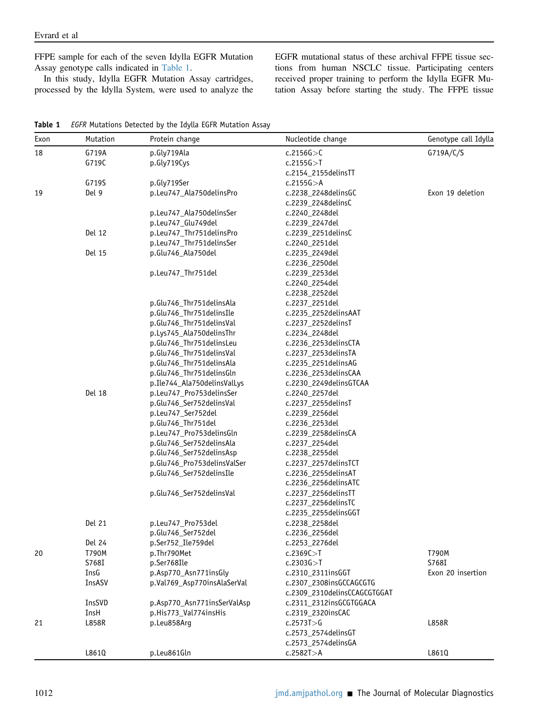FFPE sample for each of the seven Idylla EGFR Mutation Assay genotype calls indicated in [Table 1.](#page-2-0)

In this study, Idylla EGFR Mutation Assay cartridges, processed by the Idylla System, were used to analyze the EGFR mutational status of these archival FFPE tissue sections from human NSCLC tissue. Participating centers received proper training to perform the Idylla EGFR Mutation Assay before starting the study. The FFPE tissue

<span id="page-2-0"></span>

| Table 1 EGFR Mutations Detected by the Idylla EGFR Mutation Assay |  |  |  |  |
|-------------------------------------------------------------------|--|--|--|--|
|                                                                   |  |  |  |  |

| Exon | Mutation      | Protein change              | Nucleotide change            | Genotype call Idylla |
|------|---------------|-----------------------------|------------------------------|----------------------|
| 18   | G719A         | p.Gly719Ala                 | c.2156G > C                  | G719A/C/S            |
|      | G719C         | p.Gly719Cys                 | c.2155G > T                  |                      |
|      |               |                             | c.2154_2155delinsTT          |                      |
|      | G719S         | p.Gly719Ser                 | c.2155G > A                  |                      |
| 19   | Del 9         | p.Leu747_Ala750delinsPro    | c.2238_2248delinsGC          | Exon 19 deletion     |
|      |               |                             | c.2239_2248delinsC           |                      |
|      |               | p.Leu747_Ala750delinsSer    | c.2240_2248del               |                      |
|      |               | p.Leu747_Glu749del          | c.2239_2247del               |                      |
|      | Del 12        | p.Leu747_Thr751delinsPro    | c.2239_2251delinsC           |                      |
|      |               | p.Leu747_Thr751delinsSer    | c.2240_2251del               |                      |
|      | Del 15        | p.Glu746_Ala750del          | c.2235_2249del               |                      |
|      |               |                             | c.2236_2250del               |                      |
|      |               | p.Leu747_Thr751del          | c.2239_2253del               |                      |
|      |               |                             | c.2240_2254del               |                      |
|      |               |                             | c.2238_2252del               |                      |
|      |               | p.Glu746_Thr751delinsAla    | c.2237_2251del               |                      |
|      |               | p.Glu746_Thr751delinsIle    | c.2235_2252delinsAAT         |                      |
|      |               | p.Glu746_Thr751delinsVal    | c.2237_2252delinsT           |                      |
|      |               | p.Lys745_Ala750delinsThr    | c.2234_2248del               |                      |
|      |               | p.Glu746_Thr751delinsLeu    | c.2236_2253delinsCTA         |                      |
|      |               | p.Glu746_Thr751delinsVal    | c.2237_2253delinsTA          |                      |
|      |               | p.Glu746_Thr751delinsAla    | c.2235_2251delinsAG          |                      |
|      |               | p.Glu746_Thr751delinsGln    | c.2236_2253delinsCAA         |                      |
|      |               | p.Ile744_Ala750delinsValLys | c.2230_2249delinsGTCAA       |                      |
|      | <b>Del 18</b> | p.Leu747_Pro753delinsSer    | c.2240_2257del               |                      |
|      |               | p.Glu746_Ser752delinsVal    | c.2237_2255delinsT           |                      |
|      |               | p.Leu747_Ser752del          |                              |                      |
|      |               |                             | c.2239_2256del               |                      |
|      |               | p.Glu746_Thr751del          | c.2236_2253del               |                      |
|      |               | p.Leu747_Pro753delinsGln    | c.2239_2258delinsCA          |                      |
|      |               | p.Glu746_Ser752delinsAla    | c.2237_2254del               |                      |
|      |               | p.Glu746_Ser752delinsAsp    | c.2238_2255del               |                      |
|      |               | p.Glu746_Pro753delinsValSer | c.2237_2257delinsTCT         |                      |
|      |               | p.Glu746_Ser752delinsIle    | c.2236_2255delinsAT          |                      |
|      |               |                             | c.2236_2256delinsATC         |                      |
|      |               | p.Glu746 Ser752delinsVal    | c.2237_2256delinsTT          |                      |
|      |               |                             | c.2237_2256delinsTC          |                      |
|      |               |                             | c.2235_2255delinsGGT         |                      |
|      | Del 21        | p.Leu747_Pro753del          | c.2238_2258del               |                      |
|      |               | p.Glu746_Ser752del          | c.2236_2256del               |                      |
|      | Del 24        | p.Ser752_Ile759del          | c.2253_2276del               |                      |
| 20   | T790M         | p.Thr790Met                 | c.2369C > T                  | <b>T790M</b>         |
|      | S768I         | p.Ser768Ile                 | c.2303G > T                  | S768I                |
|      | InsG          | p.Asp770_Asn771insGly       | c.2310_2311insGGT            | Exon 20 insertion    |
|      | InsASV        | p.Val769_Asp770insAlaSerVal | c.2307_2308insGCCAGCGTG      |                      |
|      |               |                             | c.2309_2310delinsCCAGCGTGGAT |                      |
|      | InsSVD        | p.Asp770_Asn771insSerValAsp | c.2311_2312insGCGTGGACA      |                      |
|      | InsH          | p.His773_Val774insHis       | c.2319_2320insCAC            |                      |
| 21   | L858R         | p.Leu858Arg                 | c.2573T > G                  | L858R                |
|      |               |                             | c.2573_2574delinsGT          |                      |
|      |               |                             | c.2573_2574delinsGA          |                      |
|      | L861Q         | p.Leu861Gln                 | c.2582T > A                  | L861Q                |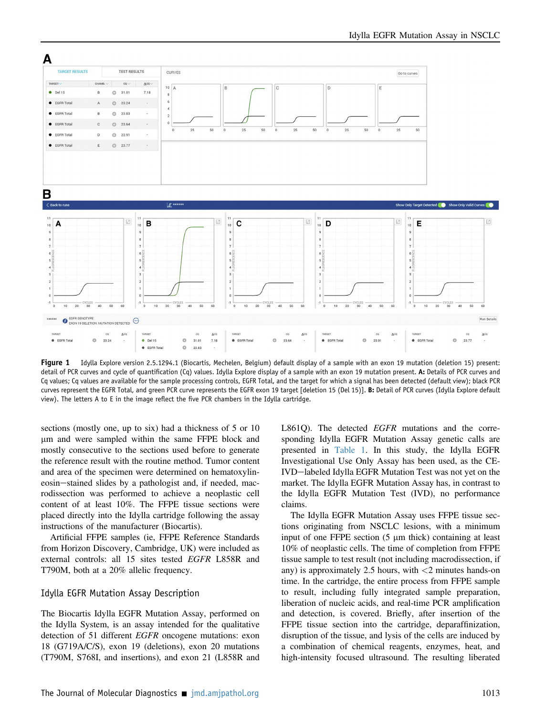<span id="page-3-0"></span>

Figure 1 Idylla Explore version 2.5.1294.1 (Biocartis, Mechelen, Belgium) default display of a sample with an exon 19 mutation (deletion 15) present: detail of PCR curves and cycle of quantification (Cq) values. Idylla Explore display of a sample with an exon 19 mutation present. A: Details of PCR curves and Cq values; Cq values are available for the sample processing controls, EGFR Total, and the target for which a signal has been detected (default view); black PCR curves represent the EGFR Total, and green PCR curve represents the EGFR exon 19 target [deletion 15 (Del 15)]. B: Detail of PCR curves (Idylla Explore default view). The letters A to E in the image reflect the five PCR chambers in the Idylla cartridge.

sections (mostly one, up to six) had a thickness of 5 or 10 mm and were sampled within the same FFPE block and mostly consecutive to the sections used before to generate the reference result with the routine method. Tumor content and area of the specimen were determined on hematoxylineosin-stained slides by a pathologist and, if needed, macrodissection was performed to achieve a neoplastic cell content of at least 10%. The FFPE tissue sections were placed directly into the Idylla cartridge following the assay instructions of the manufacturer (Biocartis).

Artificial FFPE samples (ie, FFPE Reference Standards from Horizon Discovery, Cambridge, UK) were included as external controls: all 15 sites tested EGFR L858R and T790M, both at a 20% allelic frequency.

#### Idylla EGFR Mutation Assay Description

The Biocartis Idylla EGFR Mutation Assay, performed on the Idylla System, is an assay intended for the qualitative detection of 51 different *EGFR* oncogene mutations: exon 18 (G719A/C/S), exon 19 (deletions), exon 20 mutations (T790M, S768I, and insertions), and exon 21 (L858R and L861Q). The detected  $EGFR$  mutations and the corresponding Idylla EGFR Mutation Assay genetic calls are presented in [Table 1.](#page-2-0) In this study, the Idylla EGFR Investigational Use Only Assay has been used, as the CE-IVD-labeled Idylla EGFR Mutation Test was not yet on the market. The Idylla EGFR Mutation Assay has, in contrast to the Idylla EGFR Mutation Test (IVD), no performance claims.

The Idylla EGFR Mutation Assay uses FFPE tissue sections originating from NSCLC lesions, with a minimum input of one FFPE section  $(5 \mu m)$  thick) containing at least 10% of neoplastic cells. The time of completion from FFPE tissue sample to test result (not including macrodissection, if any) is approximately 2.5 hours, with  $\langle 2 \text{ minutes hands-on} \rangle$ time. In the cartridge, the entire process from FFPE sample to result, including fully integrated sample preparation, liberation of nucleic acids, and real-time PCR amplification and detection, is covered. Briefly, after insertion of the FFPE tissue section into the cartridge, deparaffinization, disruption of the tissue, and lysis of the cells are induced by a combination of chemical reagents, enzymes, heat, and high-intensity focused ultrasound. The resulting liberated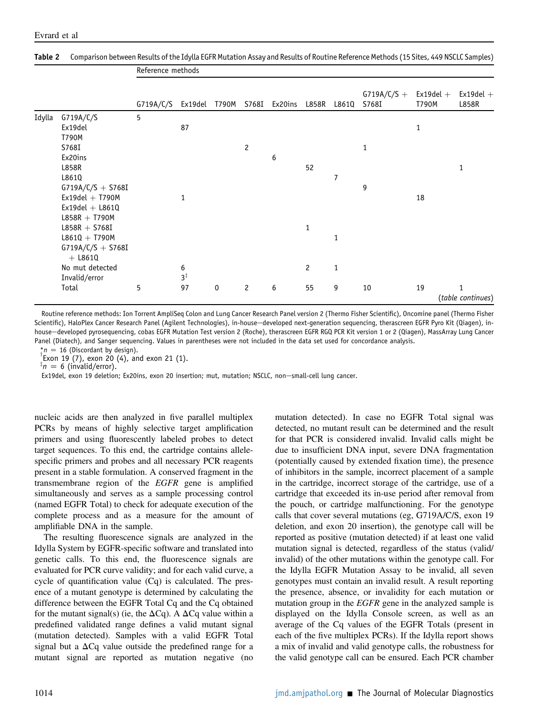|        |                                  |           | Reference methods |             |                |                             |                |              |                        |                           |                                   |
|--------|----------------------------------|-----------|-------------------|-------------|----------------|-----------------------------|----------------|--------------|------------------------|---------------------------|-----------------------------------|
|        |                                  | G719A/C/S |                   |             |                | Ex19del T790M S768I Ex20ins | L858R L861Q    |              | $G719A/C/S +$<br>S768I | Ex19del $\rm{+}$<br>T790M | $Ex19del +$<br>L858R              |
| Idylla | G719A/C/S                        | 5         |                   |             |                |                             |                |              |                        |                           |                                   |
|        | Ex19del                          |           | 87                |             |                |                             |                |              |                        | 1                         |                                   |
|        | T790M                            |           |                   |             |                |                             |                |              |                        |                           |                                   |
|        | S768I                            |           |                   |             | $\overline{c}$ |                             |                |              | 1                      |                           |                                   |
|        | Ex20ins                          |           |                   |             |                | 6                           |                |              |                        |                           |                                   |
|        | L858R                            |           |                   |             |                |                             | 52             |              |                        |                           | $\mathbf{1}$                      |
|        | L861Q                            |           |                   |             |                |                             |                | 7            |                        |                           |                                   |
|        | $G719A/C/S + S768I$              |           |                   |             |                |                             |                |              | 9                      |                           |                                   |
|        | $Ex19del + T790M$                |           | 1                 |             |                |                             |                |              |                        | 18                        |                                   |
|        | $Ex19del + L861Q$                |           |                   |             |                |                             |                |              |                        |                           |                                   |
|        | $L858R + T790M$                  |           |                   |             |                |                             |                |              |                        |                           |                                   |
|        | $L858R + S768I$                  |           |                   |             |                |                             | 1              |              |                        |                           |                                   |
|        | $L861Q + T790M$                  |           |                   |             |                |                             |                | $\mathbf{1}$ |                        |                           |                                   |
|        | $G719A/C/S + S768I$<br>$+$ L861Q |           |                   |             |                |                             |                |              |                        |                           |                                   |
|        | No mut detected                  |           | 6                 |             |                |                             | $\overline{c}$ | $\mathbf{1}$ |                        |                           |                                   |
|        | Invalid/error                    |           | $3^{\ddagger}$    |             |                |                             |                |              |                        |                           |                                   |
|        | Total                            | 5         | 97                | $\mathbf 0$ | $\overline{c}$ | 6                           | 55             | 9            | 10                     | 19                        | $\mathbf{1}$<br>(table continues) |

#### <span id="page-4-0"></span>Table 2 Comparison between Results of the Idylla EGFR Mutation Assay and Results of Routine Reference Methods (15 Sites, 449 NSCLC Samples)

Routine reference methods: Ion Torrent AmpliSeq Colon and Lung Cancer Research Panel version 2 (Thermo Fisher Scientific), Oncomine panel (Thermo Fisher Scientific), HaloPlex Cancer Research Panel (Agilent Technologies), in-house-developed next-generation sequencing, therascreen EGFR Pyro Kit (Qiagen), inhouse-developed pyrosequencing, cobas EGFR Mutation Test version 2 (Roche), therascreen EGFR RGQ PCR Kit version 1 or 2 (Qiagen), MassArray Lung Cancer Panel (Diatech), and Sanger sequencing. Values in parentheses were not included in the data set used for concordance analysis.

\* $n = 16$  (Discordant by design).

Exon 19 (7), exon 20 (4), and exon 21 (1).

 $\bar{x}_n = 6$  (invalid/error).

Ex19del, exon 19 deletion; Ex20ins, exon 20 insertion; mut, mutation; NSCLC, non-small-cell lung cancer.

nucleic acids are then analyzed in five parallel multiplex PCRs by means of highly selective target amplification primers and using fluorescently labeled probes to detect target sequences. To this end, the cartridge contains allelespecific primers and probes and all necessary PCR reagents present in a stable formulation. A conserved fragment in the transmembrane region of the EGFR gene is amplified simultaneously and serves as a sample processing control (named EGFR Total) to check for adequate execution of the complete process and as a measure for the amount of amplifiable DNA in the sample.

The resulting fluorescence signals are analyzed in the Idylla System by EGFR-specific software and translated into genetic calls. To this end, the fluorescence signals are evaluated for PCR curve validity; and for each valid curve, a cycle of quantification value (Cq) is calculated. The presence of a mutant genotype is determined by calculating the difference between the EGFR Total Cq and the Cq obtained for the mutant signal(s) (ie, the  $\Delta Cq$ ). A  $\Delta Cq$  value within a predefined validated range defines a valid mutant signal (mutation detected). Samples with a valid EGFR Total signal but a  $\Delta Cq$  value outside the predefined range for a mutant signal are reported as mutation negative (no

mutation detected). In case no EGFR Total signal was detected, no mutant result can be determined and the result for that PCR is considered invalid. Invalid calls might be due to insufficient DNA input, severe DNA fragmentation (potentially caused by extended fixation time), the presence of inhibitors in the sample, incorrect placement of a sample in the cartridge, incorrect storage of the cartridge, use of a cartridge that exceeded its in-use period after removal from the pouch, or cartridge malfunctioning. For the genotype calls that cover several mutations (eg, G719A/C/S, exon 19 deletion, and exon 20 insertion), the genotype call will be reported as positive (mutation detected) if at least one valid mutation signal is detected, regardless of the status (valid/ invalid) of the other mutations within the genotype call. For the Idylla EGFR Mutation Assay to be invalid, all seven genotypes must contain an invalid result. A result reporting the presence, absence, or invalidity for each mutation or mutation group in the *EGFR* gene in the analyzed sample is displayed on the Idylla Console screen, as well as an average of the Cq values of the EGFR Totals (present in each of the five multiplex PCRs). If the Idylla report shows a mix of invalid and valid genotype calls, the robustness for the valid genotype call can be ensured. Each PCR chamber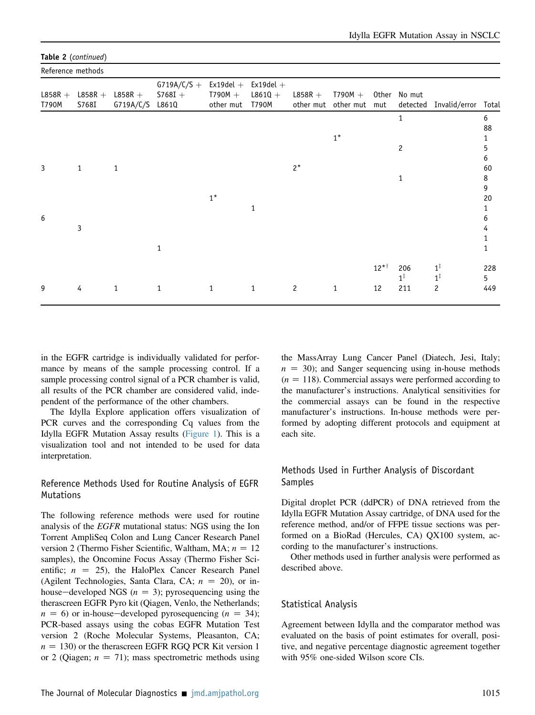| Reference methods  |                    |                        |                                     |                                       |                                   |                |                                      |           |                       |                                                                              |          |
|--------------------|--------------------|------------------------|-------------------------------------|---------------------------------------|-----------------------------------|----------------|--------------------------------------|-----------|-----------------------|------------------------------------------------------------------------------|----------|
| $L858R +$<br>T790M | $L858R +$<br>S768I | $L858R +$<br>G719A/C/S | $G719A/C/S +$<br>$5768I +$<br>L861Q | $Ex19del +$<br>$T790M +$<br>other mut | $Ex19del +$<br>$L8610 +$<br>T790M | $L858R +$      | $T790M +$<br>other mut other mut mut |           | Other No mut          | detected Invalid/error Total                                                 |          |
|                    |                    |                        |                                     |                                       |                                   |                |                                      |           | $\mathbf{1}$          |                                                                              | 6<br>88  |
|                    |                    |                        |                                     |                                       |                                   |                | $1^*$                                |           |                       |                                                                              | 1        |
|                    |                    |                        |                                     |                                       |                                   |                |                                      |           | $\overline{c}$        |                                                                              | 5        |
|                    |                    |                        |                                     |                                       |                                   |                |                                      |           |                       |                                                                              | 6        |
| 3                  | $\mathbf{1}$       | 1                      |                                     |                                       |                                   | $2^*$          |                                      |           | 1                     |                                                                              | 60<br>8  |
|                    |                    |                        |                                     |                                       |                                   |                |                                      |           |                       |                                                                              | 9        |
|                    |                    |                        |                                     | $1^*$                                 |                                   |                |                                      |           |                       |                                                                              | 20       |
|                    |                    |                        |                                     |                                       | 1                                 |                |                                      |           |                       |                                                                              |          |
| 6                  | 3                  |                        |                                     |                                       |                                   |                |                                      |           |                       |                                                                              | 6<br>4   |
|                    |                    |                        |                                     |                                       |                                   |                |                                      |           |                       |                                                                              | 1        |
|                    |                    |                        | 1                                   |                                       |                                   |                |                                      |           |                       |                                                                              | 1        |
|                    |                    |                        |                                     |                                       |                                   |                |                                      | $12^{*+}$ | 206<br>$1^{\ddagger}$ | $\begin{smallmatrix}1^{\ddagger}\1^{\ddagger}\1^{\ddagger}\end{smallmatrix}$ | 228<br>5 |
| 9                  | 4                  | $\mathbf{1}$           | $\mathbf{1}$                        | 1                                     | $\mathbf{1}$                      | $\overline{c}$ | $\mathbf{1}$                         | 12        | 211                   | $\overline{c}$                                                               | 449      |
|                    |                    |                        |                                     |                                       |                                   |                |                                      |           |                       |                                                                              |          |

#### Table 2 (continued)

in the EGFR cartridge is individually validated for performance by means of the sample processing control. If a sample processing control signal of a PCR chamber is valid, all results of the PCR chamber are considered valid, independent of the performance of the other chambers.

The Idylla Explore application offers visualization of PCR curves and the corresponding Cq values from the Idylla EGFR Mutation Assay results ([Figure 1\)](#page-3-0). This is a visualization tool and not intended to be used for data interpretation.

### Reference Methods Used for Routine Analysis of EGFR **Mutations**

The following reference methods were used for routine analysis of the EGFR mutational status: NGS using the Ion Torrent AmpliSeq Colon and Lung Cancer Research Panel version 2 (Thermo Fisher Scientific, Waltham, MA;  $n = 12$ samples), the Oncomine Focus Assay (Thermo Fisher Scientific;  $n = 25$ ), the HaloPlex Cancer Research Panel (Agilent Technologies, Santa Clara, CA;  $n = 20$ ), or inhouse—developed NGS ( $n = 3$ ); pyrosequencing using the therascreen EGFR Pyro kit (Qiagen, Venlo, the Netherlands;  $n = 6$ ) or in-house-developed pyrosequencing ( $n = 34$ ); PCR-based assays using the cobas EGFR Mutation Test version 2 (Roche Molecular Systems, Pleasanton, CA;  $n = 130$ ) or the therascreen EGFR RGQ PCR Kit version 1 or 2 (Qiagen;  $n = 71$ ); mass spectrometric methods using

the MassArray Lung Cancer Panel (Diatech, Jesi, Italy;  $n = 30$ ; and Sanger sequencing using in-house methods  $(n = 118)$ . Commercial assays were performed according to the manufacturer's instructions. Analytical sensitivities for the commercial assays can be found in the respective manufacturer's instructions. In-house methods were performed by adopting different protocols and equipment at each site.

### Methods Used in Further Analysis of Discordant Samples

Digital droplet PCR (ddPCR) of DNA retrieved from the Idylla EGFR Mutation Assay cartridge, of DNA used for the reference method, and/or of FFPE tissue sections was performed on a BioRad (Hercules, CA) QX100 system, according to the manufacturer's instructions.

Other methods used in further analysis were performed as described above.

### Statistical Analysis

Agreement between Idylla and the comparator method was evaluated on the basis of point estimates for overall, positive, and negative percentage diagnostic agreement together with 95% one-sided Wilson score CIs.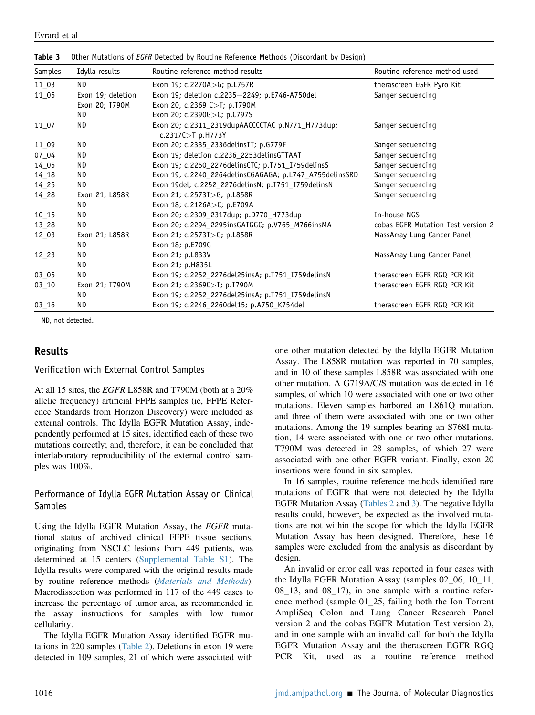| Samples   | Idylla results    | Routine reference method results                                      | Routine reference method used      |
|-----------|-------------------|-----------------------------------------------------------------------|------------------------------------|
| 11_03     | ND.               | Exon 19; $c.2270A > G$ ; p.L757R                                      | therascreen EGFR Pyro Kit          |
| 11_05     | Exon 19; deletion | Exon 19; deletion c.2235-2249; p.E746-A750del                         | Sanger sequencing                  |
|           | Exon 20; T790M    | Exon 20, c.2369 C>T; p.T790M                                          |                                    |
|           | ND.               | Exon 20; c.2390G>C; p.C797S                                           |                                    |
| $11\_07$  | ND.               | Exon 20; c.2311_2319dupAACCCCTAC p.N771_H773dup;<br>c.2317C>T p.H773Y | Sanger sequencing                  |
| 11_09     | ND.               | Exon 20; c.2335_2336delinsTT; p.G779F                                 | Sanger sequencing                  |
| $07 - 04$ | ND                | Exon 19; deletion c.2236_2253delinsGTTAAT                             | Sanger sequencing                  |
| 14 05     | ND                | Exon 19; c.2250_2276delinsCTC; p.T751_I759delinsS                     | Sanger sequencing                  |
| $14 - 18$ | ND                | Exon 19, c.2240_2264delinsCGAGAGA; p.L747_A755delinsSRD               | Sanger seguencing                  |
| $14 - 25$ | ND                | Exon 19del; c.2252_2276delinsN; p.T751_I759delinsN                    | Sanger sequencing                  |
| $14 - 28$ | Exon 21; L858R    | Exon 21; c.2573T>G; p.L858R                                           | Sanger sequencing                  |
|           | ND.               | Exon 18; c.2126A>C; p.E709A                                           |                                    |
| $10 - 15$ | ND                | Exon 20; c.2309_2317dup; p.D770_H773dup                               | In-house NGS                       |
| $13 - 28$ | ND                | Exon 20; c.2294_2295insGATGGC; p.V765_M766insMA                       | cobas EGFR Mutation Test version 2 |
| 12 03     | Exon 21; L858R    | Exon 21; c.2573T>G; p.L858R                                           | MassArray Lung Cancer Panel        |
|           | ND.               | Exon 18; p.E709G                                                      |                                    |
| 12 23     | <b>ND</b>         | Exon 21; p.L833V                                                      | MassArray Lung Cancer Panel        |
|           | ND                | Exon 21; p.H835L                                                      |                                    |
| 03 05     | ND.               | Exon 19; c.2252_2276del25insA; p.T751_I759delinsN                     | therascreen EGFR RGQ PCR Kit       |
| $03 - 10$ | Exon 21; T790M    | Exon 21; c.2369C>T; p.T790M                                           | therascreen EGFR RGQ PCR Kit       |
|           | ND.               | Exon 19; c.2252_2276del25insA; p.T751_I759delinsN                     |                                    |
| $03 - 16$ | ND                | Exon 19; c.2246_2260del15; p.A750_K754del                             | therascreen EGFR RGQ PCR Kit       |

<span id="page-6-0"></span>**Table 3** Other Mutations of *EGFR* Detected by Routine Reference Methods (Discordant by Design)

ND, not detected.

### Results

Verification with External Control Samples

At all 15 sites, the EGFR L858R and T790M (both at a 20% allelic frequency) artificial FFPE samples (ie, FFPE Reference Standards from Horizon Discovery) were included as external controls. The Idylla EGFR Mutation Assay, independently performed at 15 sites, identified each of these two mutations correctly; and, therefore, it can be concluded that interlaboratory reproducibility of the external control samples was 100%.

### Performance of Idylla EGFR Mutation Assay on Clinical Samples

Using the Idylla EGFR Mutation Assay, the EGFR mutational status of archived clinical FFPE tissue sections, originating from NSCLC lesions from 449 patients, was determined at 15 centers [\(Supplemental Table S1](#page-12-1)). The Idylla results were compared with the original results made by routine reference methods ([Materials and Methods](#page-1-0)). Macrodissection was performed in 117 of the 449 cases to increase the percentage of tumor area, as recommended in the assay instructions for samples with low tumor cellularity.

The Idylla EGFR Mutation Assay identified EGFR mutations in 220 samples [\(Table 2](#page-4-0)). Deletions in exon 19 were detected in 109 samples, 21 of which were associated with

one other mutation detected by the Idylla EGFR Mutation Assay. The L858R mutation was reported in 70 samples, and in 10 of these samples L858R was associated with one other mutation. A G719A/C/S mutation was detected in 16 samples, of which 10 were associated with one or two other mutations. Eleven samples harbored an L861Q mutation, and three of them were associated with one or two other mutations. Among the 19 samples bearing an S768I mutation, 14 were associated with one or two other mutations. T790M was detected in 28 samples, of which 27 were associated with one other EGFR variant. Finally, exon 20 insertions were found in six samples.

In 16 samples, routine reference methods identified rare mutations of EGFR that were not detected by the Idylla EGFR Mutation Assay [\(Tables 2](#page-4-0) and [3](#page-6-0)). The negative Idylla results could, however, be expected as the involved mutations are not within the scope for which the Idylla EGFR Mutation Assay has been designed. Therefore, these 16 samples were excluded from the analysis as discordant by design.

An invalid or error call was reported in four cases with the Idylla EGFR Mutation Assay (samples 02\_06, 10\_11, 08\_13, and 08\_17), in one sample with a routine reference method (sample 01\_25, failing both the Ion Torrent AmpliSeq Colon and Lung Cancer Research Panel version 2 and the cobas EGFR Mutation Test version 2), and in one sample with an invalid call for both the Idylla EGFR Mutation Assay and the therascreen EGFR RGQ PCR Kit, used as a routine reference method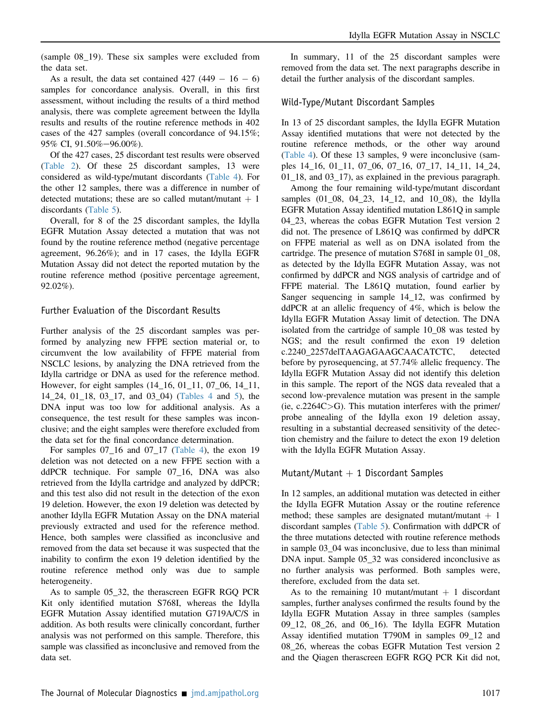(sample 08\_19). These six samples were excluded from the data set.

As a result, the data set contained  $427 (449 - 16 - 6)$ samples for concordance analysis. Overall, in this first assessment, without including the results of a third method analysis, there was complete agreement between the Idylla results and results of the routine reference methods in 402 cases of the 427 samples (overall concordance of 94.15%; 95% CI, 91.50%-96.00%).

Of the 427 cases, 25 discordant test results were observed [\(Table 2\)](#page-4-0). Of these 25 discordant samples, 13 were considered as wild-type/mutant discordants ([Table 4](#page-8-0)). For the other 12 samples, there was a difference in number of detected mutations; these are so called mutant/mutant  $+1$ discordants [\(Table 5](#page-10-0)).

Overall, for 8 of the 25 discordant samples, the Idylla EGFR Mutation Assay detected a mutation that was not found by the routine reference method (negative percentage agreement, 96.26%); and in 17 cases, the Idylla EGFR Mutation Assay did not detect the reported mutation by the routine reference method (positive percentage agreement, 92.02%).

#### Further Evaluation of the Discordant Results

Further analysis of the 25 discordant samples was performed by analyzing new FFPE section material or, to circumvent the low availability of FFPE material from NSCLC lesions, by analyzing the DNA retrieved from the Idylla cartridge or DNA as used for the reference method. However, for eight samples (14\_16, 01\_11, 07\_06, 14\_11, 14\_24, 01\_18, 03\_17, and 03\_04) ([Tables 4](#page-8-0) and [5](#page-10-0)), the DNA input was too low for additional analysis. As a consequence, the test result for these samples was inconclusive; and the eight samples were therefore excluded from the data set for the final concordance determination.

For samples 07\_16 and 07\_17 ([Table 4\)](#page-8-0), the exon 19 deletion was not detected on a new FFPE section with a ddPCR technique. For sample 07\_16, DNA was also retrieved from the Idylla cartridge and analyzed by ddPCR; and this test also did not result in the detection of the exon 19 deletion. However, the exon 19 deletion was detected by another Idylla EGFR Mutation Assay on the DNA material previously extracted and used for the reference method. Hence, both samples were classified as inconclusive and removed from the data set because it was suspected that the inability to confirm the exon 19 deletion identified by the routine reference method only was due to sample heterogeneity.

As to sample 05\_32, the therascreen EGFR RGQ PCR Kit only identified mutation S768I, whereas the Idylla EGFR Mutation Assay identified mutation G719A/C/S in addition. As both results were clinically concordant, further analysis was not performed on this sample. Therefore, this sample was classified as inconclusive and removed from the data set.

In summary, 11 of the 25 discordant samples were removed from the data set. The next paragraphs describe in detail the further analysis of the discordant samples.

#### Wild-Type/Mutant Discordant Samples

In 13 of 25 discordant samples, the Idylla EGFR Mutation Assay identified mutations that were not detected by the routine reference methods, or the other way around [\(Table 4\)](#page-8-0). Of these 13 samples, 9 were inconclusive (samples 14\_16, 01\_11, 07\_06, 07\_16, 07\_17, 14\_11, 14\_24, 01\_18, and 03\_17), as explained in the previous paragraph.

Among the four remaining wild-type/mutant discordant samples (01\_08, 04\_23, 14\_12, and 10\_08), the Idylla EGFR Mutation Assay identified mutation L861Q in sample 04\_23, whereas the cobas EGFR Mutation Test version 2 did not. The presence of L861Q was confirmed by ddPCR on FFPE material as well as on DNA isolated from the cartridge. The presence of mutation S768I in sample 01\_08, as detected by the Idylla EGFR Mutation Assay, was not confirmed by ddPCR and NGS analysis of cartridge and of FFPE material. The L861Q mutation, found earlier by Sanger sequencing in sample 14\_12, was confirmed by ddPCR at an allelic frequency of 4%, which is below the Idylla EGFR Mutation Assay limit of detection. The DNA isolated from the cartridge of sample 10\_08 was tested by NGS; and the result confirmed the exon 19 deletion c.2240\_2257delTAAGAGAAGCAACATCTC, detected before by pyrosequencing, at 57.74% allelic frequency. The Idylla EGFR Mutation Assay did not identify this deletion in this sample. The report of the NGS data revealed that a second low-prevalence mutation was present in the sample  $(ie, c.2264C>G)$ . This mutation interferes with the primer/ probe annealing of the Idylla exon 19 deletion assay, resulting in a substantial decreased sensitivity of the detection chemistry and the failure to detect the exon 19 deletion with the Idylla EGFR Mutation Assay.

#### Mutant/Mutant  $+$  1 Discordant Samples

In 12 samples, an additional mutation was detected in either the Idylla EGFR Mutation Assay or the routine reference method; these samples are designated mutant/mutant  $+1$ discordant samples [\(Table 5](#page-10-0)). Confirmation with ddPCR of the three mutations detected with routine reference methods in sample 03\_04 was inconclusive, due to less than minimal DNA input. Sample 05\_32 was considered inconclusive as no further analysis was performed. Both samples were, therefore, excluded from the data set.

As to the remaining 10 mutant/mutant  $+$  1 discordant samples, further analyses confirmed the results found by the Idylla EGFR Mutation Assay in three samples (samples 09\_12, 08\_26, and 06\_16). The Idylla EGFR Mutation Assay identified mutation T790M in samples 09\_12 and 08\_26, whereas the cobas EGFR Mutation Test version 2 and the Qiagen therascreen EGFR RGQ PCR Kit did not,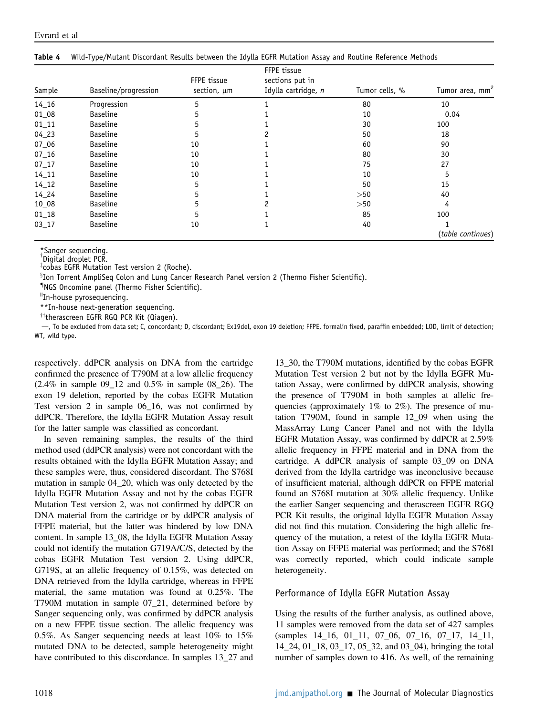| Sample    | Baseline/progression | FFPE tissue<br>section, um | FFPE tissue<br>sections put in<br>Idylla cartridge, n | Tumor cells, % | Tumor area, mm <sup>2</sup> |
|-----------|----------------------|----------------------------|-------------------------------------------------------|----------------|-----------------------------|
| $14 - 16$ | Progression          | 5                          |                                                       | 80             | 10                          |
| 01_08     | <b>Baseline</b>      | 5                          |                                                       | 10             | 0.04                        |
| $01 - 11$ | <b>Baseline</b>      | 5                          |                                                       | 30             | 100                         |
| $04 - 23$ | <b>Baseline</b>      | 5                          |                                                       | 50             | 18                          |
| $07 - 06$ | <b>Baseline</b>      | 10                         |                                                       | 60             | 90                          |
| $07 - 16$ | <b>Baseline</b>      | 10                         |                                                       | 80             | 30                          |
| $07 - 17$ | <b>Baseline</b>      | 10                         |                                                       | 75             | 27                          |
| $14 - 11$ | <b>Baseline</b>      | 10                         |                                                       | 10             | 5                           |
| $14 - 12$ | <b>Baseline</b>      | 5                          |                                                       | 50             | 15                          |
| 14 24     | <b>Baseline</b>      | 5                          |                                                       | >50            | 40                          |
| 10 08     | <b>Baseline</b>      | 5                          |                                                       | >50            | 4                           |
| $01_18$   | <b>Baseline</b>      | 5                          |                                                       | 85             | 100                         |
| $03 - 17$ | <b>Baseline</b>      | 10                         |                                                       | 40             |                             |
|           |                      |                            |                                                       |                | (table continues)           |

<span id="page-8-0"></span>Table 4 Wild-Type/Mutant Discordant Results between the Idylla EGFR Mutation Assay and Routine Reference Methods

\*Sanger sequencing.

Digital droplet PCR. z cobas EGFR Mutation Test version 2 (Roche).

 ${}^{\S}$ Ion Torrent AmpliSeq Colon and Lung Cancer Research Panel version 2 (Thermo Fisher Scientific).

{ NGS Oncomine panel (Thermo Fisher Scientific). <sup>ǁ</sup>

"In-house pyrosequencing.

\*\*In-house next-generation sequencing.

 $\dagger$ therascreen EGFR RGQ PCR Kit (Qiagen).

d, To be excluded from data set; C, concordant; D, discordant; Ex19del, exon 19 deletion; FFPE, formalin fixed, paraffin embedded; LOD, limit of detection; WT, wild type.

respectively. ddPCR analysis on DNA from the cartridge confirmed the presence of T790M at a low allelic frequency (2.4% in sample 09\_12 and 0.5% in sample 08\_26). The exon 19 deletion, reported by the cobas EGFR Mutation Test version 2 in sample 06\_16, was not confirmed by ddPCR. Therefore, the Idylla EGFR Mutation Assay result for the latter sample was classified as concordant.

In seven remaining samples, the results of the third method used (ddPCR analysis) were not concordant with the results obtained with the Idylla EGFR Mutation Assay; and these samples were, thus, considered discordant. The S768I mutation in sample 04\_20, which was only detected by the Idylla EGFR Mutation Assay and not by the cobas EGFR Mutation Test version 2, was not confirmed by ddPCR on DNA material from the cartridge or by ddPCR analysis of FFPE material, but the latter was hindered by low DNA content. In sample 13\_08, the Idylla EGFR Mutation Assay could not identify the mutation G719A/C/S, detected by the cobas EGFR Mutation Test version 2. Using ddPCR, G719S, at an allelic frequency of 0.15%, was detected on DNA retrieved from the Idylla cartridge, whereas in FFPE material, the same mutation was found at 0.25%. The T790M mutation in sample 07\_21, determined before by Sanger sequencing only, was confirmed by ddPCR analysis on a new FFPE tissue section. The allelic frequency was 0.5%. As Sanger sequencing needs at least 10% to 15% mutated DNA to be detected, sample heterogeneity might have contributed to this discordance. In samples 13\_27 and

13\_30, the T790M mutations, identified by the cobas EGFR Mutation Test version 2 but not by the Idylla EGFR Mutation Assay, were confirmed by ddPCR analysis, showing the presence of T790M in both samples at allelic frequencies (approximately 1% to 2%). The presence of mutation T790M, found in sample 12\_09 when using the MassArray Lung Cancer Panel and not with the Idylla EGFR Mutation Assay, was confirmed by ddPCR at 2.59% allelic frequency in FFPE material and in DNA from the cartridge. A ddPCR analysis of sample 03\_09 on DNA derived from the Idylla cartridge was inconclusive because of insufficient material, although ddPCR on FFPE material found an S768I mutation at 30% allelic frequency. Unlike the earlier Sanger sequencing and therascreen EGFR RGQ PCR Kit results, the original Idylla EGFR Mutation Assay did not find this mutation. Considering the high allelic frequency of the mutation, a retest of the Idylla EGFR Mutation Assay on FFPE material was performed; and the S768I was correctly reported, which could indicate sample heterogeneity.

### Performance of Idylla EGFR Mutation Assay

Using the results of the further analysis, as outlined above, 11 samples were removed from the data set of 427 samples (samples 14\_16, 01\_11, 07\_06, 07\_16, 07\_17, 14\_11, 14\_24, 01\_18, 03\_17, 05\_32, and 03\_04), bringing the total number of samples down to 416. As well, of the remaining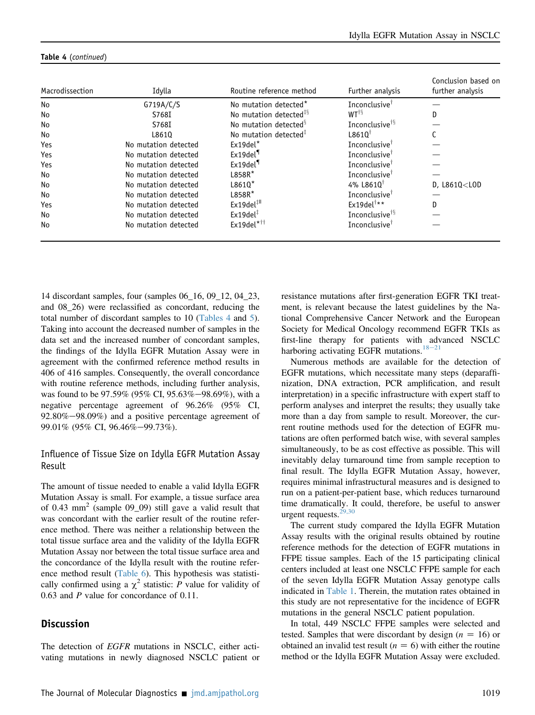| Macrodissection | Idylla               | Routine reference method           | Further analysis                          | Conclusion based on<br>further analysis |
|-----------------|----------------------|------------------------------------|-------------------------------------------|-----------------------------------------|
| No              | G719A/C/S            | No mutation detected <sup>*</sup>  | Inconclusive $^{\dagger}$                 |                                         |
| No              | S768I                | No mutation detected <sup>#8</sup> | $WT^{\dagger \S}$                         | D                                       |
| No              | S768I                | No mutation detected <sup>§</sup>  | Inconclusive <sup>†§</sup>                |                                         |
| No              | L8610                | No mutation detected <sup>#</sup>  | $L8610^{\dagger}$                         |                                         |
| Yes             | No mutation detected | $Ex19del*$                         | Inconclusive $^{\dagger}$                 |                                         |
| Yes             | No mutation detected | $Ex19$ del <sup>¶</sup>            | Inconclusive $^{\dagger}$                 |                                         |
| Yes             | No mutation detected | $Ex19$ del                         | Inconclusive $†$                          |                                         |
| No              | No mutation detected | $L858R*$                           | Inconclusive $^{\dagger}$                 |                                         |
| No              | No mutation detected | $L8610*$                           | 4% L8610 <sup><math>\dagger</math></sup>  | $D, L8610<$ LOD                         |
| No              | No mutation detected | L858R*                             | Inconclusive <sup>†</sup>                 |                                         |
| Yes             | No mutation detected | $Ex19$ del $^{\text{#II}}$         | Ex19del <sup><math>\dagger</math>**</sup> | D                                       |
| No              | No mutation detected | $Ex19$ del $†$                     | Inconclusive <sup>†§</sup>                |                                         |
| No              | No mutation detected | $Ex19$ del $*$ ††                  | Inconclusive <sup>†</sup>                 |                                         |

#### Table 4 (continued)

14 discordant samples, four (samples 06\_16, 09\_12, 04\_23, and 08\_26) were reclassified as concordant, reducing the total number of discordant samples to 10 ([Tables 4](#page-8-0) and [5](#page-10-0)). Taking into account the decreased number of samples in the data set and the increased number of concordant samples, the findings of the Idylla EGFR Mutation Assay were in agreement with the confirmed reference method results in 406 of 416 samples. Consequently, the overall concordance with routine reference methods, including further analysis, was found to be 97.59% (95% CI, 95.63%-98.69%), with a negative percentage agreement of 96.26% (95% CI,  $92.80\% - 98.09\%$  and a positive percentage agreement of 99.01% (95% CI, 96.46%-99.73%).

### Influence of Tissue Size on Idylla EGFR Mutation Assay Result

The amount of tissue needed to enable a valid Idylla EGFR Mutation Assay is small. For example, a tissue surface area of 0.43 mm<sup>2</sup> (sample 09\_09) still gave a valid result that was concordant with the earlier result of the routine reference method. There was neither a relationship between the total tissue surface area and the validity of the Idylla EGFR Mutation Assay nor between the total tissue surface area and the concordance of the Idylla result with the routine refer-ence method result ([Table 6\)](#page-12-2). This hypothesis was statistically confirmed using a  $\chi^2$  statistic: P value for validity of 0.63 and P value for concordance of 0.11.

### **Discussion**

The detection of EGFR mutations in NSCLC, either activating mutations in newly diagnosed NSCLC patient or resistance mutations after first-generation EGFR TKI treatment, is relevant because the latest guidelines by the National Comprehensive Cancer Network and the European Society for Medical Oncology recommend EGFR TKIs as first-line therapy for patients with advanced NSCLC harboring activating EGFR mutations.<sup>[18](#page-13-11)-[21](#page-13-11)</sup>

Numerous methods are available for the detection of EGFR mutations, which necessitate many steps (deparaffinization, DNA extraction, PCR amplification, and result interpretation) in a specific infrastructure with expert staff to perform analyses and interpret the results; they usually take more than a day from sample to result. Moreover, the current routine methods used for the detection of EGFR mutations are often performed batch wise, with several samples simultaneously, to be as cost effective as possible. This will inevitably delay turnaround time from sample reception to final result. The Idylla EGFR Mutation Assay, however, requires minimal infrastructural measures and is designed to run on a patient-per-patient base, which reduces turnaround time dramatically. It could, therefore, be useful to answer urgent requests. $29,30$ 

The current study compared the Idylla EGFR Mutation Assay results with the original results obtained by routine reference methods for the detection of EGFR mutations in FFPE tissue samples. Each of the 15 participating clinical centers included at least one NSCLC FFPE sample for each of the seven Idylla EGFR Mutation Assay genotype calls indicated in [Table 1](#page-2-0). Therein, the mutation rates obtained in this study are not representative for the incidence of EGFR mutations in the general NSCLC patient population.

In total, 449 NSCLC FFPE samples were selected and tested. Samples that were discordant by design  $(n = 16)$  or obtained an invalid test result ( $n = 6$ ) with either the routine method or the Idylla EGFR Mutation Assay were excluded.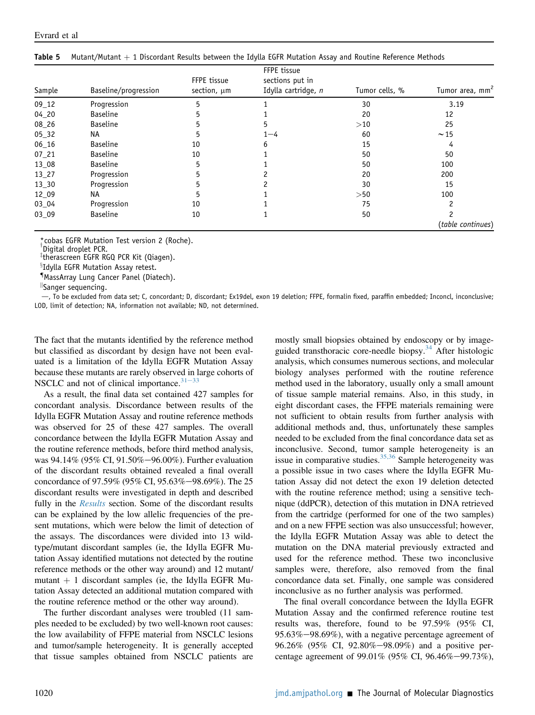| Sample    | Baseline/progression | FFPE tissue<br>section, um | FFPE tissue<br>sections put in<br>Idylla cartridge, n | Tumor cells, % | Tumor area, mm <sup>2</sup> |
|-----------|----------------------|----------------------------|-------------------------------------------------------|----------------|-----------------------------|
| $09 - 12$ | Progression          | 5                          |                                                       | 30             | 3.19                        |
| $04 - 20$ | <b>Baseline</b>      | 5                          |                                                       | 20             | 12                          |
| 08_26     | <b>Baseline</b>      | 5                          | 5                                                     | >10            | 25                          |
| $05 - 32$ | NA                   | 5                          | $1 - 4$                                               | 60             | $\sim$ 15                   |
| $06_16$   | <b>Baseline</b>      | 10                         | 6                                                     | 15             |                             |
| $07 - 21$ | <b>Baseline</b>      | 10                         |                                                       | 50             | 50                          |
| 13 08     | <b>Baseline</b>      | 5                          |                                                       | 50             | 100                         |
| 13 27     | Progression          | 5                          |                                                       | 20             | 200                         |
| 13 30     | Progression          | 5                          |                                                       | 30             | 15                          |
| 12_09     | ΝA                   | 5                          |                                                       | >50            | 100                         |
| 03_04     | Progression          | 10                         |                                                       | 75             |                             |
| 03 09     | <b>Baseline</b>      | 10                         |                                                       | 50             |                             |
|           |                      |                            |                                                       |                | (table continues)           |

<span id="page-10-0"></span>

|  | Table 5 Mutant/Mutant + 1 Discordant Results between the Idylla EGFR Mutation Assay and Routine Reference Methods |  |  |  |  |  |  |  |  |
|--|-------------------------------------------------------------------------------------------------------------------|--|--|--|--|--|--|--|--|
|--|-------------------------------------------------------------------------------------------------------------------|--|--|--|--|--|--|--|--|

\*cobas EGFR Mutation Test version 2 (Roche).

Digital droplet PCR.

z therascreen EGFR RGQ PCR Kit (Qiagen).

<sup>§</sup>Idylla EGFR Mutation Assay retest.

{ MassArray Lung Cancer Panel (Diatech).

k Sanger sequencing.

d, To be excluded from data set; C, concordant; D, discordant; Ex19del, exon 19 deletion; FFPE, formalin fixed, paraffin embedded; Inconcl, inconclusive; LOD, limit of detection; NA, information not available; ND, not determined.

The fact that the mutants identified by the reference method but classified as discordant by design have not been evaluated is a limitation of the Idylla EGFR Mutation Assay because these mutants are rarely observed in large cohorts of NSCLC and not of clinical importance. $31-33$  $31-33$  $31-33$ 

As a result, the final data set contained 427 samples for concordant analysis. Discordance between results of the Idylla EGFR Mutation Assay and routine reference methods was observed for 25 of these 427 samples. The overall concordance between the Idylla EGFR Mutation Assay and the routine reference methods, before third method analysis, was 94.14% (95% CI, 91.50%-96.00%). Further evaluation of the discordant results obtained revealed a final overall concordance of 97.59% (95% CI, 95.63%-98.69%). The 25 discordant results were investigated in depth and described fully in the Results section. Some of the discordant results can be explained by the low allelic frequencies of the present mutations, which were below the limit of detection of the assays. The discordances were divided into 13 wildtype/mutant discordant samples (ie, the Idylla EGFR Mutation Assay identified mutations not detected by the routine reference methods or the other way around) and 12 mutant/ mutant  $+$  1 discordant samples (ie, the Idylla EGFR Mutation Assay detected an additional mutation compared with the routine reference method or the other way around).

The further discordant analyses were troubled (11 samples needed to be excluded) by two well-known root causes: the low availability of FFPE material from NSCLC lesions and tumor/sample heterogeneity. It is generally accepted that tissue samples obtained from NSCLC patients are mostly small biopsies obtained by endoscopy or by image-guided transthoracic core-needle biopsy.<sup>[34](#page-14-0)</sup> After histologic analysis, which consumes numerous sections, and molecular biology analyses performed with the routine reference method used in the laboratory, usually only a small amount of tissue sample material remains. Also, in this study, in eight discordant cases, the FFPE materials remaining were not sufficient to obtain results from further analysis with additional methods and, thus, unfortunately these samples needed to be excluded from the final concordance data set as inconclusive. Second, tumor sample heterogeneity is an issue in comparative studies. $35,36$  Sample heterogeneity was a possible issue in two cases where the Idylla EGFR Mutation Assay did not detect the exon 19 deletion detected with the routine reference method; using a sensitive technique (ddPCR), detection of this mutation in DNA retrieved from the cartridge (performed for one of the two samples) and on a new FFPE section was also unsuccessful; however, the Idylla EGFR Mutation Assay was able to detect the mutation on the DNA material previously extracted and used for the reference method. These two inconclusive samples were, therefore, also removed from the final concordance data set. Finally, one sample was considered inconclusive as no further analysis was performed.

The final overall concordance between the Idylla EGFR Mutation Assay and the confirmed reference routine test results was, therefore, found to be 97.59% (95% CI,  $95.63\% - 98.69\%$ , with a negative percentage agreement of 96.26% (95% CI, 92.80%-98.09%) and a positive percentage agreement of 99.01% (95% CI, 96.46%-99.73%),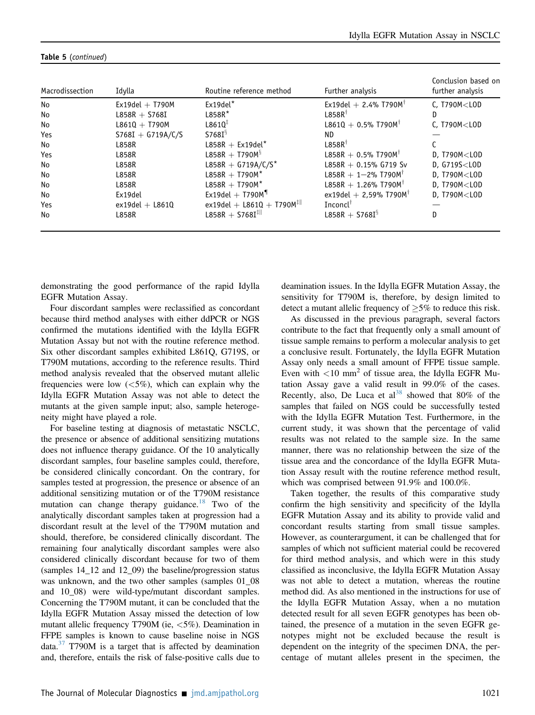| Macrodissection | Idylla              | Routine reference method                       | Further analysis                     | Conclusion based on<br>further analysis |
|-----------------|---------------------|------------------------------------------------|--------------------------------------|-----------------------------------------|
| No              | $Ex19del + T790M$   | $Ex19del*$                                     | $Ex19$ del + 2.4% T790M <sup>T</sup> | $C.$ T790 $M <$ LOD                     |
| No              | $L858R + S768I$     | $L858R*$                                       | $L858R^{\dagger}$                    | D                                       |
| No              | $L861Q + T790M$     | $L8610^{\ddagger}$                             | $L861Q + 0.5%$ T790M <sup>†</sup>    | $C$ , T790 $M <$ LOD                    |
| Yes             | $S768I + G719A/C/S$ | $S768I^{\S}$                                   | ND.                                  |                                         |
| No              | <b>L858R</b>        | $L858R + Ex19del*$                             | $L858R^{\dagger}$                    |                                         |
| Yes             | L858R               | $L858R + T790M$ <sup>§</sup>                   | $L858R + 0.5\%$ T790M <sup>†</sup>   | $D.$ T790M $<$ LOD                      |
| No              | <b>L858R</b>        | L858R + G719A/C/S*                             | L858R + 0.15% G719 Sv                | $D. G719S <$ LOD                        |
| No              | <b>L858R</b>        | $L858R + T790M*$                               | $L858R + 1 - 2\%$ T790M <sup>†</sup> | $D. T790M <$ LOD                        |
| No              | L858R               | $L858R + T790M*$                               | L858R + 1.26% T790M <sup>+</sup>     | $D, T790M<$ LOD                         |
| No              | Ex19del             | $Ex19$ del + T790M <sup>9</sup>                | ex19del + 2.59% T790 $M^{\dagger}$   | $D. T790M <$ LOD                        |
| Yes             | $ex19del + L861Q$   | ex19del + L8610 + T790 $M^{\ddagger\parallel}$ | Inconcl <sup>†</sup>                 |                                         |
| No              | <b>L858R</b>        | $L858R + S768I^{\ddagger\parallel}$            | $L858R + S768I^{\S}$                 | D                                       |

#### Table 5 (continued)

demonstrating the good performance of the rapid Idylla EGFR Mutation Assay.

Four discordant samples were reclassified as concordant because third method analyses with either ddPCR or NGS confirmed the mutations identified with the Idylla EGFR Mutation Assay but not with the routine reference method. Six other discordant samples exhibited L861Q, G719S, or T790M mutations, according to the reference results. Third method analysis revealed that the observed mutant allelic frequencies were low  $(<5\%)$ , which can explain why the Idylla EGFR Mutation Assay was not able to detect the mutants at the given sample input; also, sample heterogeneity might have played a role.

For baseline testing at diagnosis of metastatic NSCLC, the presence or absence of additional sensitizing mutations does not influence therapy guidance. Of the 10 analytically discordant samples, four baseline samples could, therefore, be considered clinically concordant. On the contrary, for samples tested at progression, the presence or absence of an additional sensitizing mutation or of the T790M resistance mutation can change therapy guidance.<sup>[18](#page-13-11)</sup> Two of the analytically discordant samples taken at progression had a discordant result at the level of the T790M mutation and should, therefore, be considered clinically discordant. The remaining four analytically discordant samples were also considered clinically discordant because for two of them (samples 14\_12 and 12\_09) the baseline/progression status was unknown, and the two other samples (samples 01\_08 and 10\_08) were wild-type/mutant discordant samples. Concerning the T790M mutant, it can be concluded that the Idylla EGFR Mutation Assay missed the detection of low mutant allelic frequency T790M (ie, <5%). Deamination in FFPE samples is known to cause baseline noise in NGS data. $37$  T790M is a target that is affected by deamination and, therefore, entails the risk of false-positive calls due to deamination issues. In the Idylla EGFR Mutation Assay, the sensitivity for T790M is, therefore, by design limited to detect a mutant allelic frequency of  $\geq$ 5% to reduce this risk.

As discussed in the previous paragraph, several factors contribute to the fact that frequently only a small amount of tissue sample remains to perform a molecular analysis to get a conclusive result. Fortunately, the Idylla EGFR Mutation Assay only needs a small amount of FFPE tissue sample. Even with  $\langle 10 \text{ mm}^2$  of tissue area, the Idylla EGFR Mutation Assay gave a valid result in 99.0% of the cases. Recently, also, De Luca et al<sup>[38](#page-14-3)</sup> showed that 80% of the samples that failed on NGS could be successfully tested with the Idylla EGFR Mutation Test. Furthermore, in the current study, it was shown that the percentage of valid results was not related to the sample size. In the same manner, there was no relationship between the size of the tissue area and the concordance of the Idylla EGFR Mutation Assay result with the routine reference method result, which was comprised between 91.9% and 100.0%.

Taken together, the results of this comparative study confirm the high sensitivity and specificity of the Idylla EGFR Mutation Assay and its ability to provide valid and concordant results starting from small tissue samples. However, as counterargument, it can be challenged that for samples of which not sufficient material could be recovered for third method analysis, and which were in this study classified as inconclusive, the Idylla EGFR Mutation Assay was not able to detect a mutation, whereas the routine method did. As also mentioned in the instructions for use of the Idylla EGFR Mutation Assay, when a no mutation detected result for all seven EGFR genotypes has been obtained, the presence of a mutation in the seven EGFR genotypes might not be excluded because the result is dependent on the integrity of the specimen DNA, the percentage of mutant alleles present in the specimen, the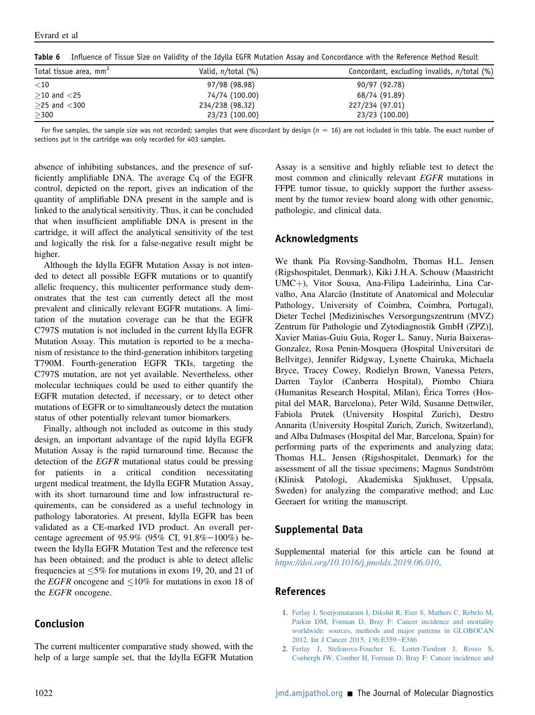| Total tissue area, mm <sup>2</sup> | Valid, $n$ /total (%) | Concordant, excluding invalids, n/total (%) |
|------------------------------------|-----------------------|---------------------------------------------|
| $<$ 10                             | 97/98 (98.98)         | 90/97 (92.78)                               |
| $>$ 10 and $<$ 25                  | 74/74 (100.00)        | 68/74 (91.89)                               |
| $>$ 25 and $<$ 300                 | 234/238 (98.32)       | 227/234 (97.01)                             |
| $\geq$ 300                         | 23/23 (100.00)        | 23/23 (100.00)                              |

<span id="page-12-2"></span>Table 6 Influence of Tissue Size on Validity of the Idylla EGFR Mutation Assay and Concordance with the Reference Method Result

For five samples, the sample size was not recorded; samples that were discordant by design ( $n = 16$ ) are not included in this table. The exact number of sections put in the cartridge was only recorded for 403 samples.

absence of inhibiting substances, and the presence of sufficiently amplifiable DNA. The average Cq of the EGFR control, depicted on the report, gives an indication of the quantity of amplifiable DNA present in the sample and is linked to the analytical sensitivity. Thus, it can be concluded that when insufficient amplifiable DNA is present in the cartridge, it will affect the analytical sensitivity of the test and logically the risk for a false-negative result might be higher.

Although the Idylla EGFR Mutation Assay is not intended to detect all possible EGFR mutations or to quantify allelic frequency, this multicenter performance study demonstrates that the test can currently detect all the most prevalent and clinically relevant EGFR mutations. A limitation of the mutation coverage can be that the EGFR C797S mutation is not included in the current Idylla EGFR Mutation Assay. This mutation is reported to be a mechanism of resistance to the third-generation inhibitors targeting T790M. Fourth-generation EGFR TKIs, targeting the C797S mutation, are not yet available. Nevertheless, other molecular techniques could be used to either quantify the EGFR mutation detected, if necessary, or to detect other mutations of EGFR or to simultaneously detect the mutation status of other potentially relevant tumor biomarkers.

Finally, although not included as outcome in this study design, an important advantage of the rapid Idylla EGFR Mutation Assay is the rapid turnaround time. Because the detection of the EGFR mutational status could be pressing for patients in a critical condition necessitating urgent medical treatment, the Idylla EGFR Mutation Assay, with its short turnaround time and low infrastructural requirements, can be considered as a useful technology in pathology laboratories. At present, Idylla EGFR has been validated as a CE-marked IVD product. An overall percentage agreement of 95.9% (95% CI, 91.8%-100%) between the Idylla EGFR Mutation Test and the reference test has been obtained; and the product is able to detect allelic frequencies at  $\leq 5\%$  for mutations in exons 19, 20, and 21 of the *EGFR* oncogene and  $\leq 10\%$  for mutations in exon 18 of the EGFR oncogene.

# Conclusion

The current multicenter comparative study showed, with the help of a large sample set, that the Idylla EGFR Mutation

Assay is a sensitive and highly reliable test to detect the most common and clinically relevant EGFR mutations in FFPE tumor tissue, to quickly support the further assessment by the tumor review board along with other genomic, pathologic, and clinical data.

# Acknowledgments

We thank Pia Rovsing-Sandholm, Thomas H.L. Jensen (Rigshospitalet, Denmark), Kiki J.H.A. Schouw (Maastricht UMC+), Vitor Sousa, Ana-Filipa Ladeirinha, Lina Carvalho, Ana Alarcão (Institute of Anatomical and Molecular Pathology, University of Coimbra, Coimbra, Portugal), Dieter Techel [Medizinisches Versorgungszentrum (MVZ) Zentrum für Pathologie und Zytodiagnostik GmbH (ZPZ)], Xavier Matias-Guiu Guia, Roger L. Sanuy, Nuria Baixeras-Gonzalez, Rosa Penin-Mosquera (Hospital Universitari de Bellvitge), Jennifer Ridgway, Lynette Chairuka, Michaela Bryce, Tracey Cowey, Rodielyn Brown, Vanessa Peters, Darren Taylor (Canberra Hospital), Piombo Chiara (Humanitas Research Hospital, Milan), Érica Torres (Hospital del MAR, Barcelona), Peter Wild, Susanne Dettwiler, Fabiola Prutek (University Hospital Zurich), Destro Annarita (University Hospital Zurich, Zurich, Switzerland), and Alba Dalmases (Hospital del Mar, Barcelona, Spain) for performing parts of the experiments and analyzing data; Thomas H.L. Jensen (Rigshospitalet, Denmark) for the assessment of all the tissue specimens; Magnus Sundström (Klinisk Patologi, Akademiska Sjukhuset, Uppsala, Sweden) for analyzing the comparative method; and Luc Geeraert for writing the manuscript.

# <span id="page-12-1"></span>Supplemental Data

Supplemental material for this article can be found at <https://doi.org/10.1016/j.jmoldx.2019.06.010>.

# <span id="page-12-0"></span>References

- 1. [Ferlay J, Soerjomataram I, Dikshit R, Eser S, Mathers C, Rebelo M,](http://refhub.elsevier.com/S1525-1578(19)30355-1/sref1) [Parkin DM, Forman D, Bray F: Cancer incidence and mortality](http://refhub.elsevier.com/S1525-1578(19)30355-1/sref1) [worldwide: sources, methods and major patterns in GLOBOCAN](http://refhub.elsevier.com/S1525-1578(19)30355-1/sref1) [2012. Int J Cancer 2015, 136:E359](http://refhub.elsevier.com/S1525-1578(19)30355-1/sref1)-[E386](http://refhub.elsevier.com/S1525-1578(19)30355-1/sref1)
- 2. [Ferlay J, Steliarova-Foucher E, Lortet-Tieulent J, Rosso S,](http://refhub.elsevier.com/S1525-1578(19)30355-1/sref2) [Coebergh JW, Comber H, Forman D, Bray F: Cancer incidence and](http://refhub.elsevier.com/S1525-1578(19)30355-1/sref2)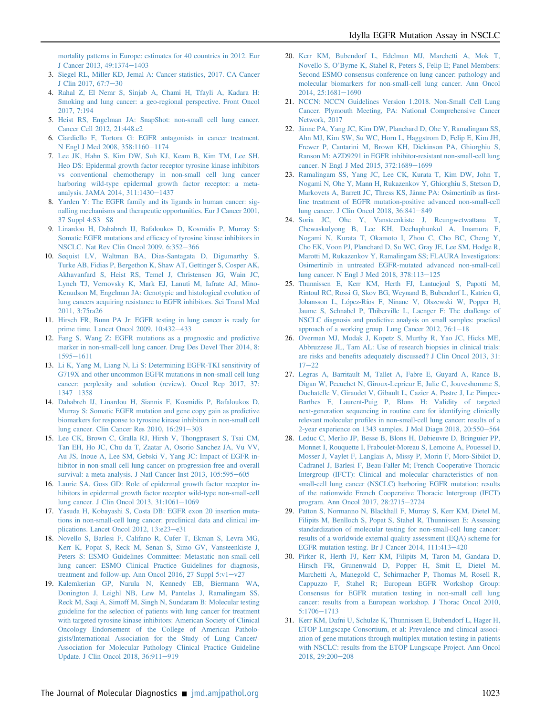[mortality patterns in Europe: estimates for 40 countries in 2012. Eur](http://refhub.elsevier.com/S1525-1578(19)30355-1/sref2) [J Cancer 2013, 49:1374](http://refhub.elsevier.com/S1525-1578(19)30355-1/sref2)-[1403](http://refhub.elsevier.com/S1525-1578(19)30355-1/sref2)

- 3. [Siegel RL, Miller KD, Jemal A: Cancer statistics, 2017. CA Cancer](http://refhub.elsevier.com/S1525-1578(19)30355-1/sref3) [J Clin 2017, 67:7](http://refhub.elsevier.com/S1525-1578(19)30355-1/sref3)-[30](http://refhub.elsevier.com/S1525-1578(19)30355-1/sref3)
- <span id="page-13-0"></span>4. [Rahal Z, El Nemr S, Sinjab A, Chami H, Tfayli A, Kadara H:](http://refhub.elsevier.com/S1525-1578(19)30355-1/sref4) [Smoking and lung cancer: a geo-regional perspective. Front Oncol](http://refhub.elsevier.com/S1525-1578(19)30355-1/sref4) [2017, 7:194](http://refhub.elsevier.com/S1525-1578(19)30355-1/sref4)
- <span id="page-13-1"></span>5. [Heist RS, Engelman JA: SnapShot: non-small cell lung cancer.](http://refhub.elsevier.com/S1525-1578(19)30355-1/sref5) [Cancer Cell 2012, 21:448.e2](http://refhub.elsevier.com/S1525-1578(19)30355-1/sref5)
- <span id="page-13-2"></span>6. [Ciardiello F, Tortora G: EGFR antagonists in cancer treatment.](http://refhub.elsevier.com/S1525-1578(19)30355-1/sref6) [N Engl J Med 2008, 358:1160](http://refhub.elsevier.com/S1525-1578(19)30355-1/sref6)-[1174](http://refhub.elsevier.com/S1525-1578(19)30355-1/sref6)
- 7. [Lee JK, Hahn S, Kim DW, Suh KJ, Keam B, Kim TM, Lee SH,](http://refhub.elsevier.com/S1525-1578(19)30355-1/sref7) [Heo DS: Epidermal growth factor receptor tyrosine kinase inhibitors](http://refhub.elsevier.com/S1525-1578(19)30355-1/sref7) [vs conventional chemotherapy in non-small cell lung cancer](http://refhub.elsevier.com/S1525-1578(19)30355-1/sref7) [harboring wild-type epidermal growth factor receptor: a meta](http://refhub.elsevier.com/S1525-1578(19)30355-1/sref7)[analysis. JAMA 2014, 311:1430](http://refhub.elsevier.com/S1525-1578(19)30355-1/sref7)-[1437](http://refhub.elsevier.com/S1525-1578(19)30355-1/sref7)
- <span id="page-13-3"></span>8. [Yarden Y: The EGFR family and its ligands in human cancer: sig](http://refhub.elsevier.com/S1525-1578(19)30355-1/sref8)[nalling mechanisms and therapeutic opportunities. Eur J Cancer 2001,](http://refhub.elsevier.com/S1525-1578(19)30355-1/sref8)  $37$  Suppl  $4:S3-S8$  $4:S3-S8$
- 9. [Linardou H, Dahabreh IJ, Bafaloukos D, Kosmidis P, Murray S:](http://refhub.elsevier.com/S1525-1578(19)30355-1/sref9) Somatic EGFR mutations and effi[cacy of tyrosine kinase inhibitors in](http://refhub.elsevier.com/S1525-1578(19)30355-1/sref9) [NSCLC. Nat Rev Clin Oncol 2009, 6:352](http://refhub.elsevier.com/S1525-1578(19)30355-1/sref9)-[366](http://refhub.elsevier.com/S1525-1578(19)30355-1/sref9)
- <span id="page-13-4"></span>10. [Sequist LV, Waltman BA, Dias-Santagata D, Digumarthy S,](http://refhub.elsevier.com/S1525-1578(19)30355-1/sref10) [Turke AB, Fidias P, Bergethon K, Shaw AT, Gettinger S, Cosper AK,](http://refhub.elsevier.com/S1525-1578(19)30355-1/sref10) [Akhavanfard S, Heist RS, Temel J, Christensen JG, Wain JC,](http://refhub.elsevier.com/S1525-1578(19)30355-1/sref10) [Lynch TJ, Vernovsky K, Mark EJ, Lanuti M, Iafrate AJ, Mino-](http://refhub.elsevier.com/S1525-1578(19)30355-1/sref10)[Kenudson M, Engelman JA: Genotypic and histological evolution of](http://refhub.elsevier.com/S1525-1578(19)30355-1/sref10) [lung cancers acquiring resistance to EGFR inhibitors. Sci Transl Med](http://refhub.elsevier.com/S1525-1578(19)30355-1/sref10) [2011, 3:75ra26](http://refhub.elsevier.com/S1525-1578(19)30355-1/sref10)
- <span id="page-13-5"></span>11. [Hirsch FR, Bunn PA Jr: EGFR testing in lung cancer is ready for](http://refhub.elsevier.com/S1525-1578(19)30355-1/sref11) prime time. Lancet Oncol  $2009$ ,  $10:432-433$  $10:432-433$
- <span id="page-13-6"></span>12. [Fang S, Wang Z: EGFR mutations as a prognostic and predictive](http://refhub.elsevier.com/S1525-1578(19)30355-1/sref12) [marker in non-small-cell lung cancer. Drug Des Devel Ther 2014, 8:](http://refhub.elsevier.com/S1525-1578(19)30355-1/sref12)  $1595 - 1611$  $1595 - 1611$  $1595 - 1611$
- <span id="page-13-7"></span>13. [Li K, Yang M, Liang N, Li S: Determining EGFR-TKI sensitivity of](http://refhub.elsevier.com/S1525-1578(19)30355-1/sref13) [G719X and other uncommon EGFR mutations in non-small cell lung](http://refhub.elsevier.com/S1525-1578(19)30355-1/sref13) [cancer: perplexity and solution \(review\). Oncol Rep 2017, 37:](http://refhub.elsevier.com/S1525-1578(19)30355-1/sref13)  $1347 - 1358$  $1347 - 1358$  $1347 - 1358$
- <span id="page-13-8"></span>14. [Dahabreh IJ, Linardou H, Siannis F, Kosmidis P, Bafaloukos D,](http://refhub.elsevier.com/S1525-1578(19)30355-1/sref14) [Murray S: Somatic EGFR mutation and gene copy gain as predictive](http://refhub.elsevier.com/S1525-1578(19)30355-1/sref14) [biomarkers for response to tyrosine kinase inhibitors in non-small cell](http://refhub.elsevier.com/S1525-1578(19)30355-1/sref14) lung cancer. Clin Cancer Res  $2010$ ,  $16:291-303$  $16:291-303$
- <span id="page-13-9"></span>15. [Lee CK, Brown C, Gralla RJ, Hirsh V, Thongprasert S, Tsai CM,](http://refhub.elsevier.com/S1525-1578(19)30355-1/sref15) [Tan EH, Ho JC, Chu da T, Zaatar A, Osorio Sanchez JA, Vu VV,](http://refhub.elsevier.com/S1525-1578(19)30355-1/sref15) [Au JS, Inoue A, Lee SM, Gebski V, Yang JC: Impact of EGFR in](http://refhub.elsevier.com/S1525-1578(19)30355-1/sref15)[hibitor in non-small cell lung cancer on progression-free and overall](http://refhub.elsevier.com/S1525-1578(19)30355-1/sref15) [survival: a meta-analysis. J Natl Cancer Inst 2013, 105:595](http://refhub.elsevier.com/S1525-1578(19)30355-1/sref15)-[605](http://refhub.elsevier.com/S1525-1578(19)30355-1/sref15)
- 16. [Laurie SA, Goss GD: Role of epidermal growth factor receptor in](http://refhub.elsevier.com/S1525-1578(19)30355-1/sref16)[hibitors in epidermal growth factor receptor wild-type non-small-cell](http://refhub.elsevier.com/S1525-1578(19)30355-1/sref16) [lung cancer. J Clin Oncol 2013, 31:1061](http://refhub.elsevier.com/S1525-1578(19)30355-1/sref16)-[1069](http://refhub.elsevier.com/S1525-1578(19)30355-1/sref16)
- <span id="page-13-10"></span>17. [Yasuda H, Kobayashi S, Costa DB: EGFR exon 20 insertion muta](http://refhub.elsevier.com/S1525-1578(19)30355-1/sref17)[tions in non-small-cell lung cancer: preclinical data and clinical im](http://refhub.elsevier.com/S1525-1578(19)30355-1/sref17)plications. Lancet Oncol 2012,  $13:e23-e31$  $13:e23-e31$
- <span id="page-13-11"></span>18. [Novello S, Barlesi F, Califano R, Cufer T, Ekman S, Levra MG,](http://refhub.elsevier.com/S1525-1578(19)30355-1/sref18) [Kerr K, Popat S, Reck M, Senan S, Simo GV, Vansteenkiste J,](http://refhub.elsevier.com/S1525-1578(19)30355-1/sref18) [Peters S: ESMO Guidelines Committee: Metastatic non-small-cell](http://refhub.elsevier.com/S1525-1578(19)30355-1/sref18) [lung cancer: ESMO Clinical Practice Guidelines for diagnosis,](http://refhub.elsevier.com/S1525-1578(19)30355-1/sref18) treatment and follow-up. Ann Oncol 2016, 27 Suppl  $5: v1-v27$  $5: v1-v27$
- 19. [Kalemkerian GP, Narula N, Kennedy EB, Biermann WA,](http://refhub.elsevier.com/S1525-1578(19)30355-1/sref19) [Donington J, Leighl NB, Lew M, Pantelas J, Ramalingam SS,](http://refhub.elsevier.com/S1525-1578(19)30355-1/sref19) [Reck M, Saqi A, Simoff M, Singh N, Sundaram B: Molecular testing](http://refhub.elsevier.com/S1525-1578(19)30355-1/sref19) [guideline for the selection of patients with lung cancer for treatment](http://refhub.elsevier.com/S1525-1578(19)30355-1/sref19) [with targeted tyrosine kinase inhibitors: American Society of Clinical](http://refhub.elsevier.com/S1525-1578(19)30355-1/sref19) [Oncology Endorsement of the College of American Patholo](http://refhub.elsevier.com/S1525-1578(19)30355-1/sref19)[gists/International Association for the Study of Lung Cancer/-](http://refhub.elsevier.com/S1525-1578(19)30355-1/sref19) [Association for Molecular Pathology Clinical Practice Guideline](http://refhub.elsevier.com/S1525-1578(19)30355-1/sref19) [Update. J Clin Oncol 2018, 36:911](http://refhub.elsevier.com/S1525-1578(19)30355-1/sref19)-[919](http://refhub.elsevier.com/S1525-1578(19)30355-1/sref19)
- 20. [Kerr KM, Bubendorf L, Edelman MJ, Marchetti A, Mok T,](http://refhub.elsevier.com/S1525-1578(19)30355-1/sref20) Novello S, O'[Byrne K, Stahel R, Peters S, Felip E; Panel Members:](http://refhub.elsevier.com/S1525-1578(19)30355-1/sref20) [Second ESMO consensus conference on lung cancer: pathology and](http://refhub.elsevier.com/S1525-1578(19)30355-1/sref20) [molecular biomarkers for non-small-cell lung cancer. Ann Oncol](http://refhub.elsevier.com/S1525-1578(19)30355-1/sref20)  $2014, 25:1681-1690$  $2014, 25:1681-1690$  $2014, 25:1681-1690$
- 21. [NCCN: NCCN Guidelines Version 1.2018. Non-Small Cell Lung](http://refhub.elsevier.com/S1525-1578(19)30355-1/sref21) [Cancer. Plymouth Meeting, PA: National Comprehensive Cancer](http://refhub.elsevier.com/S1525-1578(19)30355-1/sref21) [Network, 2017](http://refhub.elsevier.com/S1525-1578(19)30355-1/sref21)
- 22. [Jänne PA, Yang JC, Kim DW, Planchard D, Ohe Y, Ramalingam SS,](http://refhub.elsevier.com/S1525-1578(19)30355-1/sref22) [Ahn MJ, Kim SW, Su WC, Horn L, Haggstrom D, Felip E, Kim JH,](http://refhub.elsevier.com/S1525-1578(19)30355-1/sref22) [Frewer P, Cantarini M, Brown KH, Dickinson PA, Ghiorghiu S,](http://refhub.elsevier.com/S1525-1578(19)30355-1/sref22) [Ranson M: AZD9291 in EGFR inhibitor-resistant non-small-cell lung](http://refhub.elsevier.com/S1525-1578(19)30355-1/sref22) [cancer. N Engl J Med 2015, 372:1689](http://refhub.elsevier.com/S1525-1578(19)30355-1/sref22)-[1699](http://refhub.elsevier.com/S1525-1578(19)30355-1/sref22)
- <span id="page-13-12"></span>23. [Ramalingam SS, Yang JC, Lee CK, Kurata T, Kim DW, John T,](http://refhub.elsevier.com/S1525-1578(19)30355-1/sref23) [Nogami N, Ohe Y, Mann H, Rukazenkov Y, Ghiorghiu S, Stetson D,](http://refhub.elsevier.com/S1525-1578(19)30355-1/sref23) [Markovets A, Barrett JC, Thress KS, Jänne PA: Osimertinib as](http://refhub.elsevier.com/S1525-1578(19)30355-1/sref23) first[line treatment of EGFR mutation-positive advanced non-small-cell](http://refhub.elsevier.com/S1525-1578(19)30355-1/sref23) [lung cancer. J Clin Oncol 2018, 36:841](http://refhub.elsevier.com/S1525-1578(19)30355-1/sref23)-[849](http://refhub.elsevier.com/S1525-1578(19)30355-1/sref23)
- 24. [Soria JC, Ohe Y, Vansteenkiste J, Reungwetwattana T,](http://refhub.elsevier.com/S1525-1578(19)30355-1/sref24) [Chewaskulyong B, Lee KH, Dechaphunkul A, Imamura F,](http://refhub.elsevier.com/S1525-1578(19)30355-1/sref24) [Nogami N, Kurata T, Okamoto I, Zhou C, Cho BC, Cheng Y,](http://refhub.elsevier.com/S1525-1578(19)30355-1/sref24) [Cho EK, Voon PJ, Planchard D, Su WC, Gray JE, Lee SM, Hodge R,](http://refhub.elsevier.com/S1525-1578(19)30355-1/sref24) [Marotti M, Rukazenkov Y, Ramalingam SS; FLAURA Investigators:](http://refhub.elsevier.com/S1525-1578(19)30355-1/sref24) [Osimertinib in untreated EGFR-mutated advanced non-small-cell](http://refhub.elsevier.com/S1525-1578(19)30355-1/sref24) [lung cancer. N Engl J Med 2018, 378:113](http://refhub.elsevier.com/S1525-1578(19)30355-1/sref24)-[125](http://refhub.elsevier.com/S1525-1578(19)30355-1/sref24)
- <span id="page-13-13"></span>25. [Thunnissen E, Kerr KM, Herth FJ, Lantuejoul S, Papotti M,](http://refhub.elsevier.com/S1525-1578(19)30355-1/sref25) [Rintoul RC, Rossi G, Skov BG, Weynand B, Bubendorf L, Katrien G,](http://refhub.elsevier.com/S1525-1578(19)30355-1/sref25) [Johansson L, López-Ríos F, Ninane V, Olszewski W, Popper H,](http://refhub.elsevier.com/S1525-1578(19)30355-1/sref25) [Jaume S, Schnabel P, Thiberville L, Laenger F: The challenge of](http://refhub.elsevier.com/S1525-1578(19)30355-1/sref25) [NSCLC diagnosis and predictive analysis on small samples: practical](http://refhub.elsevier.com/S1525-1578(19)30355-1/sref25) approach of a working group. Lung Cancer 2012,  $76:1-18$  $76:1-18$
- <span id="page-13-14"></span>26. [Overman MJ, Modak J, Kopetz S, Murthy R, Yao JC, Hicks ME,](http://refhub.elsevier.com/S1525-1578(19)30355-1/sref26) [Abbruzzese JL, Tam AL: Use of research biopsies in clinical trials:](http://refhub.elsevier.com/S1525-1578(19)30355-1/sref26) are risks and benefi[ts adequately discussed? J Clin Oncol 2013, 31:](http://refhub.elsevier.com/S1525-1578(19)30355-1/sref26)  $17 - 22$  $17 - 22$  $17 - 22$
- <span id="page-13-15"></span>27. [Legras A, Barritault M, Tallet A, Fabre E, Guyard A, Rance B,](http://refhub.elsevier.com/S1525-1578(19)30355-1/sref27) [Digan W, Pecuchet N, Giroux-Leprieur E, Julie C, Jouveshomme S,](http://refhub.elsevier.com/S1525-1578(19)30355-1/sref27) [Duchatelle V, Giraudet V, Gibault L, Cazier A, Pastre J, Le Pimpec-](http://refhub.elsevier.com/S1525-1578(19)30355-1/sref27)[Barthes F, Laurent-Puig P, Blons H: Validity of targeted](http://refhub.elsevier.com/S1525-1578(19)30355-1/sref27) [next-generation sequencing in routine care for identifying clinically](http://refhub.elsevier.com/S1525-1578(19)30355-1/sref27) relevant molecular profi[les in non-small-cell lung cancer: results of a](http://refhub.elsevier.com/S1525-1578(19)30355-1/sref27) 2-year experience on  $1343$  samples. J Mol Diagn  $2018$ ,  $20:550-564$  $20:550-564$
- 28. [Leduc C, Merlio JP, Besse B, Blons H, Debieuvre D, Bringuier PP,](http://refhub.elsevier.com/S1525-1578(19)30355-1/sref28) [Monnet I, Rouquette I, Fraboulet-Moreau S, Lemoine A, Pouessel D,](http://refhub.elsevier.com/S1525-1578(19)30355-1/sref28) [Mosser J, Vaylet F, Langlais A, Missy P, Morin F, Moro-Sibilot D,](http://refhub.elsevier.com/S1525-1578(19)30355-1/sref28) [Cadranel J, Barlesi F, Beau-Faller M; French Cooperative Thoracic](http://refhub.elsevier.com/S1525-1578(19)30355-1/sref28) [Intergroup \(IFCT\): Clinical and molecular characteristics of non](http://refhub.elsevier.com/S1525-1578(19)30355-1/sref28)[small-cell lung cancer \(NSCLC\) harboring EGFR mutation: results](http://refhub.elsevier.com/S1525-1578(19)30355-1/sref28) [of the nationwide French Cooperative Thoracic Intergroup \(IFCT\)](http://refhub.elsevier.com/S1525-1578(19)30355-1/sref28) [program. Ann Oncol 2017, 28:2715](http://refhub.elsevier.com/S1525-1578(19)30355-1/sref28)-[2724](http://refhub.elsevier.com/S1525-1578(19)30355-1/sref28)
- <span id="page-13-16"></span>29. [Patton S, Normanno N, Blackhall F, Murray S, Kerr KM, Dietel M,](http://refhub.elsevier.com/S1525-1578(19)30355-1/sref29) [Filipits M, Benlloch S, Popat S, Stahel R, Thunnissen E: Assessing](http://refhub.elsevier.com/S1525-1578(19)30355-1/sref29) [standardization of molecular testing for non-small-cell lung cancer:](http://refhub.elsevier.com/S1525-1578(19)30355-1/sref29) [results of a worldwide external quality assessment \(EQA\) scheme for](http://refhub.elsevier.com/S1525-1578(19)30355-1/sref29) EGFR mutation testing. Br J Cancer 2014,  $111:413-420$  $111:413-420$
- 30. [Pirker R, Herth FJ, Kerr KM, Filipits M, Taron M, Gandara D,](http://refhub.elsevier.com/S1525-1578(19)30355-1/sref30) [Hirsch FR, Grunenwald D, Popper H, Smit E, Dietel M,](http://refhub.elsevier.com/S1525-1578(19)30355-1/sref30) [Marchetti A, Manegold C, Schirmacher P, Thomas M, Rosell R,](http://refhub.elsevier.com/S1525-1578(19)30355-1/sref30) [Cappuzzo F, Stahel R; European EGFR Workshop Group:](http://refhub.elsevier.com/S1525-1578(19)30355-1/sref30) [Consensus for EGFR mutation testing in non-small cell lung](http://refhub.elsevier.com/S1525-1578(19)30355-1/sref30) [cancer: results from a European workshop. J Thorac Oncol 2010,](http://refhub.elsevier.com/S1525-1578(19)30355-1/sref30) [5:1706](http://refhub.elsevier.com/S1525-1578(19)30355-1/sref30)-[1713](http://refhub.elsevier.com/S1525-1578(19)30355-1/sref30)
- <span id="page-13-17"></span>31. [Kerr KM, Dafni U, Schulze K, Thunnissen E, Bubendorf L, Hager H,](http://refhub.elsevier.com/S1525-1578(19)30355-1/sref31) [ETOP Lungscape Consortium, et al: Prevalence and clinical associ](http://refhub.elsevier.com/S1525-1578(19)30355-1/sref31)[ation of gene mutations through multiplex mutation testing in patients](http://refhub.elsevier.com/S1525-1578(19)30355-1/sref31) [with NSCLC: results from the ETOP Lungscape Project. Ann Oncol](http://refhub.elsevier.com/S1525-1578(19)30355-1/sref31)  $2018, 29:200 - 208$  $2018, 29:200 - 208$  $2018, 29:200 - 208$